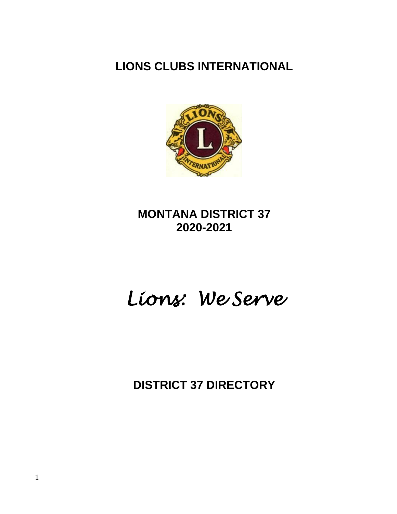# **LIONS CLUBS INTERNATIONAL**



# **MONTANA DISTRICT 37 2020-2021**

# *Lions: We Serve*

**DISTRICT 37 DIRECTORY**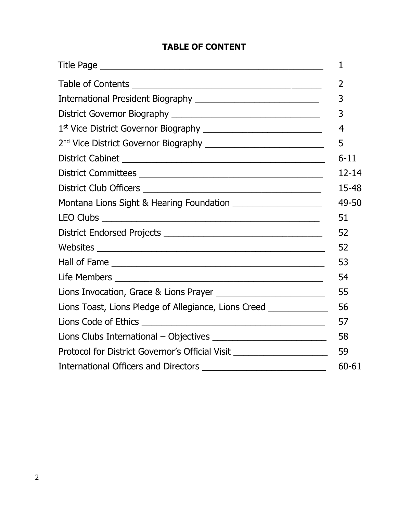## **TABLE OF CONTENT**

| Montana Lions Sight & Hearing Foundation ______________________         |  |
|-------------------------------------------------------------------------|--|
|                                                                         |  |
|                                                                         |  |
|                                                                         |  |
|                                                                         |  |
|                                                                         |  |
|                                                                         |  |
| Lions Toast, Lions Pledge of Allegiance, Lions Creed ______________     |  |
|                                                                         |  |
|                                                                         |  |
| Protocol for District Governor's Official Visit _______________________ |  |
|                                                                         |  |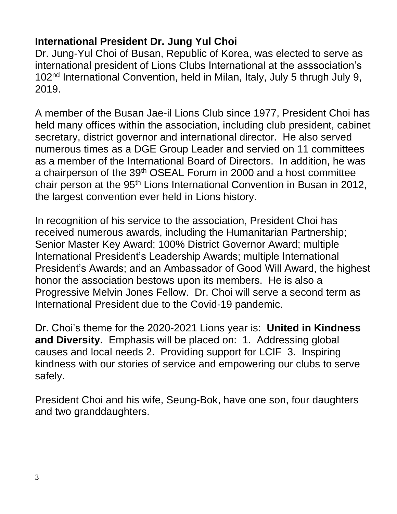# **International President Dr. Jung Yul Choi**

Dr. Jung-Yul Choi of Busan, Republic of Korea, was elected to serve as international president of Lions Clubs International at the asssociation's 102nd International Convention, held in Milan, Italy, July 5 thrugh July 9, 2019.

A member of the Busan Jae-il Lions Club since 1977, President Choi has held many offices within the association, including club president, cabinet secretary, district governor and international director. He also served numerous times as a DGE Group Leader and servied on 11 committees as a member of the International Board of Directors. In addition, he was a chairperson of the 39<sup>th</sup> OSEAL Forum in 2000 and a host committee chair person at the 95<sup>th</sup> Lions International Convention in Busan in 2012, the largest convention ever held in Lions history.

In recognition of his service to the association, President Choi has received numerous awards, including the Humanitarian Partnership; Senior Master Key Award; 100% District Governor Award; multiple International President's Leadership Awards; multiple International President's Awards; and an Ambassador of Good Will Award, the highest honor the association bestows upon its members. He is also a Progressive Melvin Jones Fellow. Dr. Choi will serve a second term as International President due to the Covid-19 pandemic.

Dr. Choi's theme for the 2020-2021 Lions year is: **United in Kindness and Diversity.** Emphasis will be placed on: 1. Addressing global causes and local needs 2. Providing support for LCIF 3. Inspiring kindness with our stories of service and empowering our clubs to serve safely.

President Choi and his wife, Seung-Bok, have one son, four daughters and two granddaughters.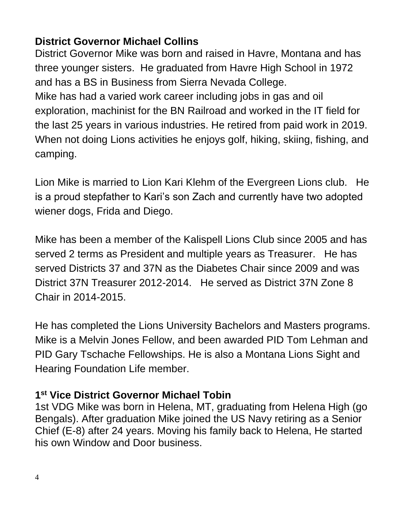# **District Governor Michael Collins**

District Governor Mike was born and raised in Havre, Montana and has three younger sisters. He graduated from Havre High School in 1972 and has a BS in Business from Sierra Nevada College. Mike has had a varied work career including jobs in gas and oil exploration, machinist for the BN Railroad and worked in the IT field for the last 25 years in various industries. He retired from paid work in 2019. When not doing Lions activities he enjoys golf, hiking, skiing, fishing, and camping.

Lion Mike is married to Lion Kari Klehm of the Evergreen Lions club. He is a proud stepfather to Kari's son Zach and currently have two adopted wiener dogs, Frida and Diego.

Mike has been a member of the Kalispell Lions Club since 2005 and has served 2 terms as President and multiple years as Treasurer. He has served Districts 37 and 37N as the Diabetes Chair since 2009 and was District 37N Treasurer 2012-2014. He served as District 37N Zone 8 Chair in 2014-2015.

He has completed the Lions University Bachelors and Masters programs. Mike is a Melvin Jones Fellow, and been awarded PID Tom Lehman and PID Gary Tschache Fellowships. He is also a Montana Lions Sight and Hearing Foundation Life member.

# **1 st Vice District Governor Michael Tobin**

1st VDG Mike was born in Helena, MT, graduating from Helena High (go Bengals). After graduation Mike joined the US Navy retiring as a Senior Chief (E-8) after 24 years. Moving his family back to Helena, He started his own Window and Door business.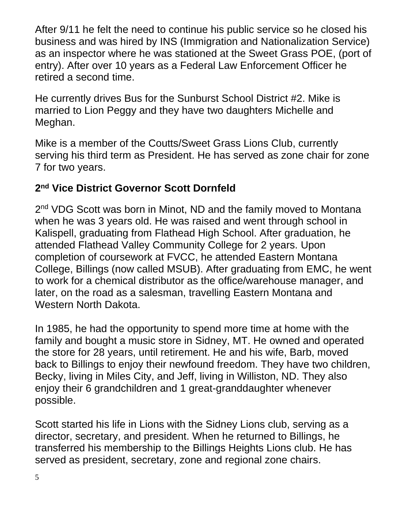After 9/11 he felt the need to continue his public service so he closed his business and was hired by INS (Immigration and Nationalization Service) as an inspector where he was stationed at the Sweet Grass POE, (port of entry). After over 10 years as a Federal Law Enforcement Officer he retired a second time.

He currently drives Bus for the Sunburst School District #2. Mike is married to Lion Peggy and they have two daughters Michelle and Meghan.

Mike is a member of the Coutts/Sweet Grass Lions Club, currently serving his third term as President. He has served as zone chair for zone 7 for two years.

# **2 nd Vice District Governor Scott Dornfeld**

2<sup>nd</sup> VDG Scott was born in Minot, ND and the family moved to Montana when he was 3 years old. He was raised and went through school in Kalispell, graduating from Flathead High School. After graduation, he attended Flathead Valley Community College for 2 years. Upon completion of coursework at FVCC, he attended Eastern Montana College, Billings (now called MSUB). After graduating from EMC, he went to work for a chemical distributor as the office/warehouse manager, and later, on the road as a salesman, travelling Eastern Montana and Western North Dakota.

In 1985, he had the opportunity to spend more time at home with the family and bought a music store in Sidney, MT. He owned and operated the store for 28 years, until retirement. He and his wife, Barb, moved back to Billings to enjoy their newfound freedom. They have two children, Becky, living in Miles City, and Jeff, living in Williston, ND. They also enjoy their 6 grandchildren and 1 great-granddaughter whenever possible.

Scott started his life in Lions with the Sidney Lions club, serving as a director, secretary, and president. When he returned to Billings, he transferred his membership to the Billings Heights Lions club. He has served as president, secretary, zone and regional zone chairs.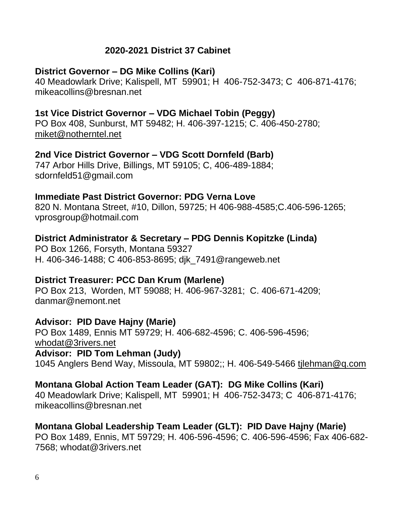# **2020-2021 District 37 Cabinet**

## **District Governor – DG Mike Collins (Kari)**

40 Meadowlark Drive; Kalispell, MT 59901; H 406-752-3473; C 406-871-4176; mikeacollins@bresnan.net

# **1st Vice District Governor – VDG Michael Tobin (Peggy)**

PO Box 408, Sunburst, MT 59482; H. 406-397-1215; C. 406-450-2780; miket@notherntel.net

## **2nd Vice District Governor – VDG Scott Dornfeld (Barb)**

747 Arbor Hills Drive, Billings, MT 59105; C, 406-489-1884; sdornfeld51@gmail.com

## **Immediate Past District Governor: PDG Verna Love**

820 N. Montana Street, #10, Dillon, 59725; H 406-988-4585;C.406-596-1265; vprosgroup@hotmail.com

# **District Administrator & Secretary – PDG Dennis Kopitzke (Linda)**

PO Box 1266, Forsyth, Montana 59327 H. 406-346-1488; C 406-853-8695; djk\_7491@rangeweb.net

# **District Treasurer: PCC Dan Krum (Marlene)**

PO Box 213, Worden, MT 59088; H. 406-967-3281; C. 406-671-4209; danmar@nemont.net

### **Advisor: PID Dave Hajny (Marie)**

PO Box 1489, Ennis MT 59729; H. 406-682-4596; C. 406-596-4596; whodat@3rivers.net **Advisor: PID Tom Lehman (Judy)**

1045 Anglers Bend Way, Missoula, MT 59802;; H. 406-549-5466 tjlehman@q.com

# **Montana Global Action Team Leader (GAT): DG Mike Collins (Kari)**

40 Meadowlark Drive; Kalispell, MT 59901; H 406-752-3473; C 406-871-4176; mikeacollins@bresnan.net

# **Montana Global Leadership Team Leader (GLT): PID Dave Hajny (Marie)**

PO Box 1489, Ennis, MT 59729; H. 406-596-4596; C. 406-596-4596; Fax 406-682- 7568; whodat@3rivers.net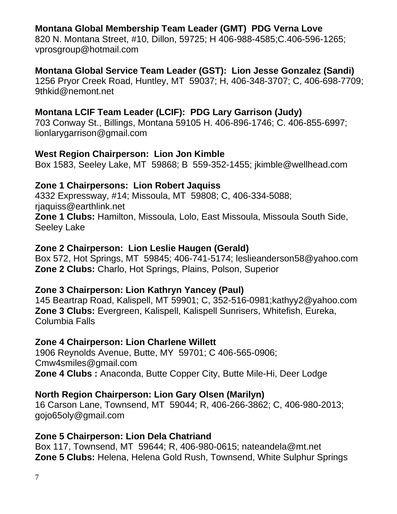# **Montana Global Membership Team Leader (GMT) PDG Verna Love**

820 N. Montana Street, #10, Dillon, 59725; H 406-988-4585;C.406-596-1265; vprosgroup@hotmail.com

# **Montana Global Service Team Leader (GST): Lion Jesse Gonzalez (Sandi)**

1256 Pryor Creek Road, Huntley, MT 59037; H, 406-348-3707; C, 406-698-7709; 9thkid@nemont.net

# **Montana LCIF Team Leader (LCIF): PDG Lary Garrison (Judy)**

703 Conway St., Billings, Montana 59105 H. 406-896-1746; C. 406-855-6997; lionlarygarrison@gmail.com

## **West Region Chairperson: Lion Jon Kimble**

Box 1583, Seeley Lake, MT 59868; B 559-352-1455; jkimble@wellhead.com

# **Zone 1 Chairpersons: Lion Robert Jaquiss**

4332 Expressway, #14; Missoula, MT 59808; C, 406-334-5088; rjaquiss@earthlink.net **Zone 1 Clubs:** Hamilton, Missoula, Lolo, East Missoula, Missoula South Side, Seeley Lake

# **Zone 2 Chairperson: Lion Leslie Haugen (Gerald)**

Box 572, Hot Springs, MT 59845; 406-741-5174; leslieanderson58@yahoo.com **Zone 2 Clubs:** Charlo, Hot Springs, Plains, Polson, Superior

# **Zone 3 Chairperson: Lion Kathryn Yancey (Paul)**

145 Beartrap Road, Kalispell, MT 59901; C, 352-516-0981;kathyy2@yahoo.com **Zone 3 Clubs:** Evergreen, Kalispell, Kalispell Sunrisers, Whitefish, Eureka, Columbia Falls

# **Zone 4 Chairperson: Lion Charlene Willett**

1906 Reynolds Avenue, Butte, MY 59701; C 406-565-0906; Cmw4smiles@gmail.com **Zone 4 Clubs :** Anaconda, Butte Copper City, Butte Mile-Hi, Deer Lodge

# **North Region Chairperson: Lion Gary Olsen (Marilyn)**

16 Carson Lane, Townsend, MT 59044; R, 406-266-3862; C, 406-980-2013; gojo65oly@gmail.com

# **Zone 5 Chairperson: Lion Dela Chatriand**

Box 117, Townsend, MT 59644; R, 406-980-0615; nateandela@mt.net **Zone 5 Clubs:** Helena, Helena Gold Rush, Townsend, White Sulphur Springs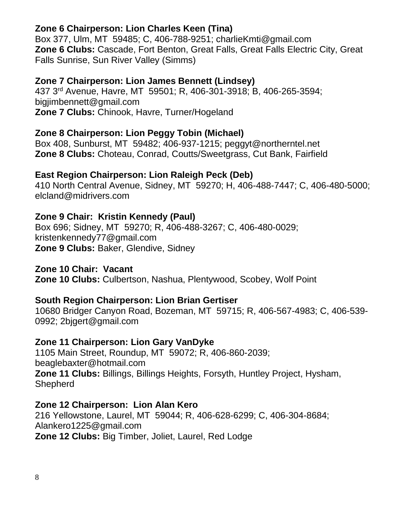# **Zone 6 Chairperson: Lion Charles Keen (Tina)**

Box 377, Ulm, MT 59485; C, 406-788-9251; charlieKmti@gmail.com **Zone 6 Clubs:** Cascade, Fort Benton, Great Falls, Great Falls Electric City, Great Falls Sunrise, Sun River Valley (Simms)

# **Zone 7 Chairperson: Lion James Bennett (Lindsey)**

437 3rd Avenue, Havre, MT 59501; R, 406-301-3918; B, 406-265-3594; bigjimbennett@gmail.com **Zone 7 Clubs:** Chinook, Havre, Turner/Hogeland

# **Zone 8 Chairperson: Lion Peggy Tobin (Michael)**

Box 408, Sunburst, MT 59482; 406-937-1215; peggyt@northerntel.net **Zone 8 Clubs:** Choteau, Conrad, Coutts/Sweetgrass, Cut Bank, Fairfield

# **East Region Chairperson: Lion Raleigh Peck (Deb)**

410 North Central Avenue, Sidney, MT 59270; H, 406-488-7447; C, 406-480-5000; elcland@midrivers.com

# **Zone 9 Chair: Kristin Kennedy (Paul)**

Box 696; Sidney, MT 59270; R, 406-488-3267; C, 406-480-0029; kristenkennedy77@gmail.com **Zone 9 Clubs:** Baker, Glendive, Sidney

# **Zone 10 Chair: Vacant**

**Zone 10 Clubs:** Culbertson, Nashua, Plentywood, Scobey, Wolf Point

# **South Region Chairperson: Lion Brian Gertiser**

10680 Bridger Canyon Road, Bozeman, MT 59715; R, 406-567-4983; C, 406-539- 0992; 2bjgert@gmail.com

# **Zone 11 Chairperson: Lion Gary VanDyke**

1105 Main Street, Roundup, MT 59072; R, 406-860-2039; beaglebaxter@hotmail.com **Zone 11 Clubs:** Billings, Billings Heights, Forsyth, Huntley Project, Hysham, Shepherd

# **Zone 12 Chairperson: Lion Alan Kero**

216 Yellowstone, Laurel, MT 59044; R, 406-628-6299; C, 406-304-8684; Alankero1225@gmail.com **Zone 12 Clubs:** Big Timber, Joliet, Laurel, Red Lodge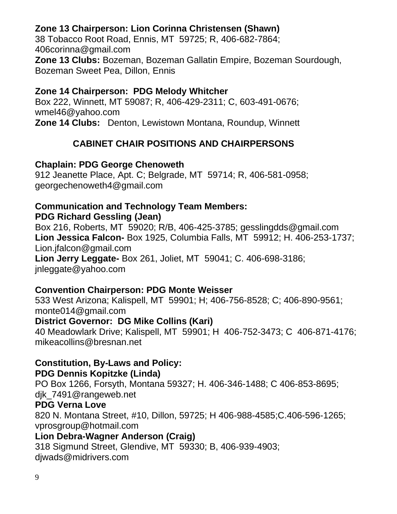# **Zone 13 Chairperson: Lion Corinna Christensen (Shawn)**

38 Tobacco Root Road, Ennis, MT 59725; R, 406-682-7864; 406corinna@gmail.com

**Zone 13 Clubs:** Bozeman, Bozeman Gallatin Empire, Bozeman Sourdough, Bozeman Sweet Pea, Dillon, Ennis

# **Zone 14 Chairperson: PDG Melody Whitcher**

Box 222, Winnett, MT 59087; R, 406-429-2311; C, 603-491-0676; wmel46@yahoo.com

**Zone 14 Clubs:** Denton, Lewistown Montana, Roundup, Winnett

# **CABINET CHAIR POSITIONS AND CHAIRPERSONS**

# **Chaplain: PDG George Chenoweth**

912 Jeanette Place, Apt. C; Belgrade, MT 59714; R, 406-581-0958; georgechenoweth4@gmail.com

# **Communication and Technology Team Members:**

**PDG Richard Gessling (Jean)**

Box 216, Roberts, MT 59020; R/B, 406-425-3785; gesslingdds@gmail.com **Lion Jessica Falcon-** Box 1925, Columbia Falls, MT 59912; H. 406-253-1737; Lion.jfalcon@gmail.com

**Lion Jerry Leggate-** Box 261, Joliet, MT 59041; C. 406-698-3186; jnleggate@yahoo.com

# **Convention Chairperson: PDG Monte Weisser**

533 West Arizona; Kalispell, MT 59901; H; 406-756-8528; C; 406-890-9561; monte014@gmail.com

# **District Governor: DG Mike Collins (Kari)**

40 Meadowlark Drive; Kalispell, MT 59901; H 406-752-3473; C 406-871-4176; mikeacollins@bresnan.net

# **Constitution, By-Laws and Policy:**

# **PDG Dennis Kopitzke (Linda)**

PO Box 1266, Forsyth, Montana 59327; H. 406-346-1488; C 406-853-8695;

djk\_7491@rangeweb.net

# **PDG Verna Love**

820 N. Montana Street, #10, Dillon, 59725; H 406-988-4585;C.406-596-1265; vprosgroup@hotmail.com

# **Lion Debra-Wagner Anderson (Craig)**

318 Sigmund Street, Glendive, MT 59330; B, 406-939-4903; djwads@midrivers.com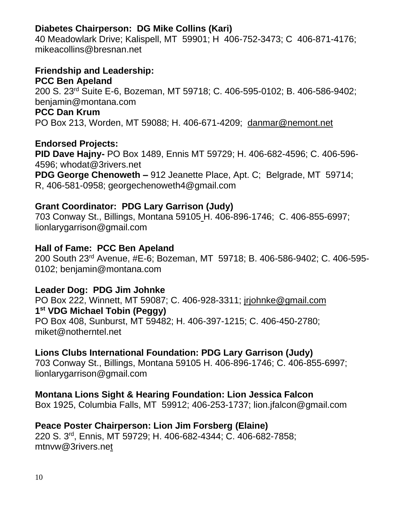# **Diabetes Chairperson: DG Mike Collins (Kari)**

40 Meadowlark Drive; Kalispell, MT 59901; H 406-752-3473; C 406-871-4176; mikeacollins@bresnan.net

# **Friendship and Leadership:**

#### **PCC Ben Apeland**

200 S. 23rd Suite E-6, Bozeman, MT 59718; C. 406-595-0102; B. 406-586-9402; benjamin@montana.com

#### **PCC Dan Krum**

PO Box 213, Worden, MT 59088; H. 406-671-4209; danmar@nemont.net

# **Endorsed Projects:**

**PID Dave Hajny-** PO Box 1489, Ennis MT 59729; H. 406-682-4596; C. 406-596- 4596; whodat@3rivers.net

**PDG George Chenoweth –** 912 Jeanette Place, Apt. C; Belgrade, MT 59714; R, 406-581-0958; georgechenoweth4@gmail.com

# **Grant Coordinator: PDG Lary Garrison (Judy)**

703 Conway St., Billings, Montana 59105 H. 406-896-1746; C. 406-855-6997; lionlarygarrison@gmail.com

# **Hall of Fame: PCC Ben Apeland**

200 South 23rd Avenue, #E-6; Bozeman, MT 59718; B. 406-586-9402; C. 406-595- 0102; benjamin@montana.com

# **Leader Dog: PDG Jim Johnke**

PO Box 222, Winnett, MT 59087; C. 406-928-3311; jrjohnke@gmail.com **1 st VDG Michael Tobin (Peggy)** PO Box 408, Sunburst, MT 59482; H. 406-397-1215; C. 406-450-2780; miket@notherntel.net

# **Lions Clubs International Foundation: PDG Lary Garrison (Judy)**

703 Conway St., Billings, Montana 59105 H. 406-896-1746; C. 406-855-6997; lionlarygarrison@gmail.com

### **Montana Lions Sight & Hearing Foundation: Lion Jessica Falcon**

Box 1925, Columbia Falls, MT 59912; 406-253-1737; lion.jfalcon@gmail.com

### **Peace Poster Chairperson: Lion Jim Forsberg (Elaine)** 220 S. 3rd, Ennis, MT 59729; H. 406-682-4344; C. 406-682-7858; mtnvw@3rivers.net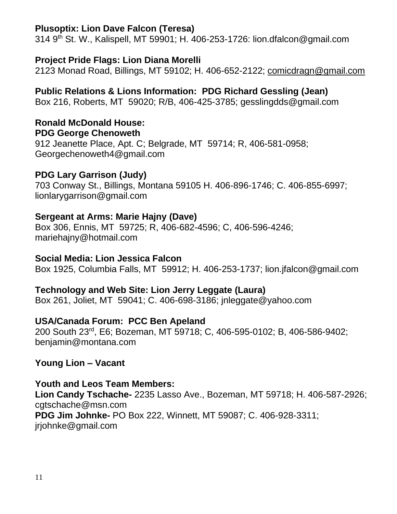# **Plusoptix: Lion Dave Falcon (Teresa)**

314 9th St. W., Kalispell, MT 59901; H. 406-253-1726: lion.dfalcon@gmail.com

# **Project Pride Flags: Lion Diana Morelli**

2123 Monad Road, Billings, MT 59102; H. 406-652-2122; comicdragn@gmail.com

**Public Relations & Lions Information: PDG Richard Gessling (Jean)** Box 216, Roberts, MT 59020; R/B, 406-425-3785; gesslingdds@gmail.com

#### **Ronald McDonald House: PDG George Chenoweth**

912 Jeanette Place, Apt. C; Belgrade, MT 59714; R, 406-581-0958; Georgechenoweth4@gmail.com

# **PDG Lary Garrison (Judy)**

703 Conway St., Billings, Montana 59105 H. 406-896-1746; C. 406-855-6997; lionlarygarrison@gmail.com

# **Sergeant at Arms: Marie Hajny (Dave)**

Box 306, Ennis, MT 59725; R, 406-682-4596; C, 406-596-4246; mariehajny@hotmail.com

## **Social Media: Lion Jessica Falcon**

Box 1925, Columbia Falls, MT 59912; H. 406-253-1737; lion.jfalcon@gmail.com

# **Technology and Web Site: Lion Jerry Leggate (Laura)**

Box 261, Joliet, MT 59041; C. 406-698-3186; jnleggate@yahoo.com

# **USA/Canada Forum: PCC Ben Apeland**

200 South 23rd, E6; Bozeman, MT 59718; C, 406-595-0102; B, 406-586-9402; benjamin@montana.com

# **Young Lion – Vacant**

# **Youth and Leos Team Members:**

**Lion Candy Tschache-** 2235 Lasso Ave., Bozeman, MT 59718; H. 406-587-2926; catschache@msn.com

**PDG Jim Johnke-** PO Box 222, Winnett, MT 59087; C. 406-928-3311; jrjohnke@gmail.com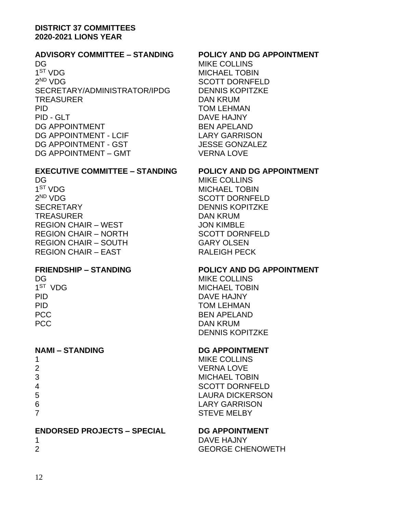#### **DISTRICT 37 COMMITTEES 2020-2021 LIONS YEAR**

#### **ADVISORY COMMITTEE – STANDING POLICY AND DG APPOINTMENT**

DG MIKE COLLINS 1<sup>ST</sup> VDG  $2<sup>ND</sup> VDG$ SECRETARY/ADMINISTRATOR/IPDG DENNIS KOPITZKE TREASURER DAN KRUM PID TOM LEHMAN PID - GLT DAVE HAJNY DG APPOINTMENT BEN APELAND DG APPOINTMENT - LCIF LARY GARRISON DG APPOINTMENT - GST JESSE GONZALEZ DG APPOINTMENT – GMT VERNA LOVE

#### **EXECUTIVE COMMITTEE – STANDING POLICY AND DG APPOINTMENT**

DG MIKE COLLINS 1<sup>ST</sup> VDG  $2<sup>ND</sup> VDG$ SECRETARY DENNIS KOPITZKE TREASURER DAN KRUM REGION CHAIR – WEST **INFORM A SECURITY CONTROLLY** REGION CHAIR – NORTH SCOTT DORNFELD REGION CHAIR – SOUTH GARY OLSEN REGION CHAIR – EAST RALEIGH PECK

1 ST

| 1              |  |  |
|----------------|--|--|
| $\overline{2}$ |  |  |
| 3              |  |  |
| 4              |  |  |
| 5              |  |  |
| 6              |  |  |
| 7              |  |  |

#### **ENDORSED PROJECTS – SPECIAL DG APPOINTMENT**

| 1              |  |  |  |
|----------------|--|--|--|
| $\overline{2}$ |  |  |  |

**MICHAEL TOBIN** SCOTT DORNFELD

**MICHAEL TOBIN** SCOTT DORNFELD

#### **FRIENDSHIP – STANDING POLICY AND DG APPOINTMENT**

DG MIKE COLLINS **MICHAEL TOBIN** PID DAVE HAJNY PID TOM LEHMAN PCC BEN APELAND PCC DAN KRUM DENNIS KOPITZKE

#### **NAMI – STANDING DG APPOINTMENT**

**MIKE COLLINS VERNA LOVE MICHAEL TOBIN SCOTT DORNFELD** LAURA DICKERSON LARY GARRISON **STEVE MELBY** 

DAVE HAJNY **GEORGE CHENOWETH**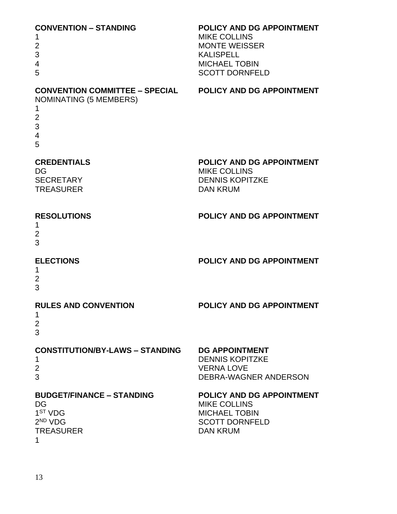| <b>CONVENTION - STANDING</b><br>1<br>2<br>3<br>4<br>5                                                                                        | POLICY AND DG APPOINTMENT<br><b>MIKE COLLINS</b><br><b>MONTE WEISSER</b><br><b>KALISPELL</b><br><b>MICHAEL TOBIN</b><br><b>SCOTT DORNFELD</b> |
|----------------------------------------------------------------------------------------------------------------------------------------------|-----------------------------------------------------------------------------------------------------------------------------------------------|
| CONVENTION COMMITTEE - SPECIAL POLICY AND DG APPOINTMENT<br><b>NOMINATING (5 MEMBERS)</b><br>1<br>$\overline{2}$<br>3<br>$\overline{4}$<br>5 |                                                                                                                                               |
| <b>CREDENTIALS</b><br>DG<br><b>SECRETARY</b><br><b>TREASURER</b>                                                                             | POLICY AND DG APPOINTMENT<br><b>MIKE COLLINS</b><br><b>DENNIS KOPITZKE</b><br><b>DAN KRUM</b>                                                 |
| <b>RESOLUTIONS</b><br>1<br>$\overline{2}$<br>3                                                                                               | POLICY AND DG APPOINTMENT                                                                                                                     |
| <b>ELECTIONS</b><br>1<br>$\overline{2}$<br>3                                                                                                 | POLICY AND DG APPOINTMENT                                                                                                                     |
| <b>RULES AND CONVENTION</b><br>1<br>$\overline{2}$<br>3                                                                                      | POLICY AND DG APPOINTMENT                                                                                                                     |
| <b>CONSTITUTION/BY-LAWS - STANDING</b><br>1<br>$\overline{2}$<br>3                                                                           | <b>DG APPOINTMENT</b><br><b>DENNIS KOPITZKE</b><br><b>VERNA LOVE</b><br>DEBRA-WAGNER ANDERSON                                                 |
| <b>BUDGET/FINANCE - STANDING</b><br>DG<br>1 <sup>ST</sup> VDG<br>$2^{ND}$ VDG<br><b>TREASURER</b><br>1                                       | POLICY AND DG APPOINTMENT<br><b>MIKE COLLINS</b><br><b>MICHAEL TOBIN</b><br><b>SCOTT DORNFELD</b><br><b>DAN KRUM</b>                          |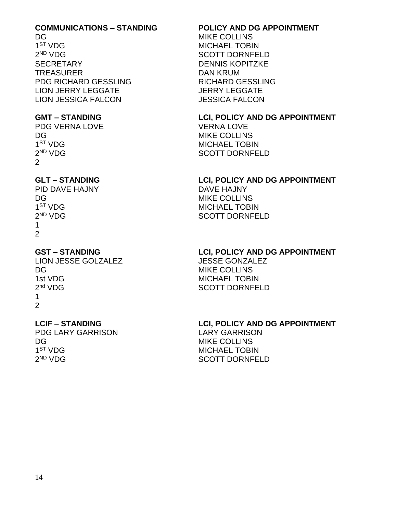# **COMMUNICATIONS – STANDING POLICY AND DG APPOINTMENT**

1<sup>ST</sup> VDG  $2<sup>ND</sup> V<sub>DG</sub>$ SECRETARY DENNIS KOPITZKE TREASURER DAN KRUM PDG RICHARD GESSLING RICHARD GESSLING LION JERRY LEGGATE JERRY LEGGATE LION JESSICA FALCON JESSICA FALCON

PDG VERNA LOVE VERNA LOVE DG MIKE COLLINS  $1<sup>ST</sup> V<sub>DG</sub>$  $2<sup>ND</sup> VDG$ 2

PID DAVE HAJNY DAVE HAJNY DG MIKE COLLINS 1<sup>ST</sup> VDG  $2^{ND}$  VDG 1  $\mathcal{P}$ 

LION JESSE GOLZALEZ JESSE GONZALEZ DG MIKE COLLINS 1st VDG MICHAEL TOBIN 2<sup>nd</sup> VDG 1 2

PDG LARY GARRISON LARY GARRISON DG MIKE COLLINS 1<sup>ST</sup> VDG  $2^{ND}$  VDG

MIKE COLLINS **MICHAEL TOBIN** SCOTT DORNEELD

**GMT – STANDING LCI, POLICY AND DG APPOINTMENT MICHAEL TOBIN** SCOTT DORNFELD

# **GLT – STANDING LCI, POLICY AND DG APPOINTMENT**

**MICHAEL TOBIN** SCOTT DORNFELD

# **GST – STANDING LCI, POLICY AND DG APPOINTMENT**

SCOTT DORNFELD

# **LCIF – STANDING LCI, POLICY AND DG APPOINTMENT**

**MICHAEL TOBIN** SCOTT DORNFELD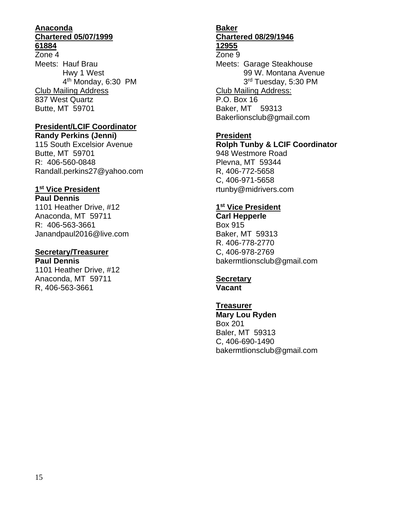#### **Anaconda Chartered 05/07/1999 61884**

Zone 4 Meets: Hauf Brau Hwy 1 West 4 th Monday, 6:30 PM Club Mailing Address 837 West Quartz Butte, MT 59701

#### **President/LCIF Coordinator**

**Randy Perkins (Jenni)** 115 South Excelsior Avenue Butte, MT 59701 R: 406-560-0848 Randall.perkins27@yahoo.com

## **1 st Vice President**

**Paul Dennis** 1101 Heather Drive, #12 Anaconda, MT 59711 R: 406-563-3661 Janandpaul2016@live.com

#### **Secretary/Treasurer**

**Paul Dennis** 1101 Heather Drive, #12 Anaconda, MT 59711 R, 406-563-3661

# **Baker Chartered 08/29/1946**

#### **12955** Zone 9

Meets: Garage Steakhouse 99 W. Montana Avenue 3<sup>rd</sup> Tuesday, 5:30 PM Club Mailing Address: P.O. Box 16 Baker, MT 59313 Bakerlionsclub@gmail.com

#### **President**

**Rolph Tunby & LCIF Coordinator** 948 Westmore Road Plevna, MT 59344 R, 406-772-5658 C, 406-971-5658 rtunby@midrivers.com

#### **1 st Vice President**

**Carl Hepperle** Box 915 Baker, MT 59313 R. 406-778-2770 C, 406-978-2769 bakermtlionsclub@gmail.com

#### **Secretary**

**Vacant**

**Treasurer Mary Lou Ryden** Box 201 Baler, MT 59313 C, 406-690-1490 bakermtlionsclub@gmail.com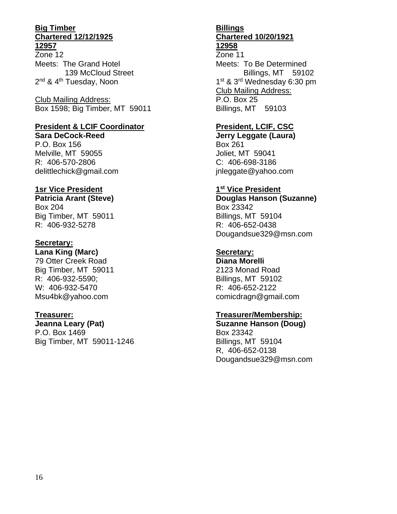#### **Big Timber Chartered 12/12/1925 12957**

Zone 12 Meets: The Grand Hotel 139 McCloud Street 2<sup>nd</sup> & 4<sup>th</sup> Tuesday, Noon

Club Mailing Address: Box 1598; Big Timber, MT 59011

#### **President & LCIF Coordinator**

**Sara DeCock-Reed** P.O. Box 156 Melville, MT 59055 R: 406-570-2806 delittlechick@gmail.com

#### **1sr Vice President**

**Patricia Arant (Steve)** Box 204 Big Timber, MT 59011 R: 406-932-5278

#### **Secretary:**

**Lana King (Marc)** 79 Otter Creek Road Big Timber, MT 59011 R: 406-932-5590; W: 406-932-5470 Msu4bk@yahoo.com

#### **Treasurer:**

**Jeanna Leary (Pat)** P.O. Box 1469 Big Timber, MT 59011-1246

#### **Billings Chartered 10/20/1921 12958**

Zone 11 Meets: To Be Determined Billings, MT 59102 1<sup>st</sup> & 3<sup>rd</sup> Wednesday 6:30 pm Club Mailing Address: P.O. Box 25 Billings, MT 59103

#### **President, LCIF, CSC**

**Jerry Leggate (Laura)** Box 261 Joliet, MT 59041 C: 406-698-3186 jnleggate@yahoo.com

#### **1 st Vice President**

**Douglas Hanson (Suzanne)** Box 23342 Billings, MT 59104 R: 406-652-0438 Dougandsue329@msn.com

### **Secretary:**

**Diana Morelli** 2123 Monad Road Billings, MT 59102 R: 406-652-2122 comicdragn@gmail.com

#### **Treasurer/Membership:**

**Suzanne Hanson (Doug)** Box 23342 Billings, MT 59104 R, 406-652-0138 Dougandsue329@msn.com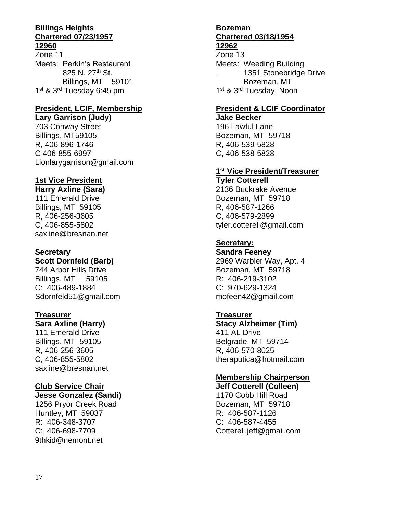#### **Billings Heights Chartered 07/23/1957 12960**

Zone 11 Meets: Perkin's Restaurant 825 N. 27<sup>th</sup> St. Billings, MT 59101 1<sup>st</sup> & 3<sup>rd</sup> Tuesday 6:45 pm

#### **President, LCIF, Membership**

**Lary Garrison (Judy)** 703 Conway Street Billings, MT59105 R, 406-896-1746 C 406-855-6997 Lionlarygarrison@gmail.com

## **1st Vice President**

**Harry Axline (Sara)** 111 Emerald Drive Billings, MT 59105 R, 406-256-3605 C, 406-855-5802 saxline@bresnan.net

#### **Secretary**

**Scott Dornfeld (Barb)**

744 Arbor Hills Drive Billings, MT 59105 C: 406-489-1884 Sdornfeld51@gmail.com

### **Treasurer**

#### **Sara Axline (Harry)**

111 Emerald Drive Billings, MT 59105 R, 406-256-3605 C, 406-855-5802 saxline@bresnan.net

### **Club Service Chair**

**Jesse Gonzalez (Sandi)** 1256 Pryor Creek Road Huntley, MT 59037 R: 406-348-3707 C: 406-698-7709 9thkid@nemont.net

#### **Bozeman Chartered 03/18/1954 12962**

Zone 13 Meets: Weeding Building . 1351 Stonebridge Drive Bozeman, MT 1<sup>st</sup> & 3<sup>rd</sup> Tuesday, Noon

# **President & LCIF Coordinator**

**Jake Becker** 196 Lawful Lane Bozeman, MT 59718 R, 406-539-5828 C, 406-538-5828

#### **1 st Vice President/Treasurer**

**Tyler Cotterell** 2136 Buckrake Avenue Bozeman, MT 59718 R, 406-587-1266 C, 406-579-2899 tyler.cotterell@gmail.com

### **Secretary:**

**Sandra Feeney** 2969 Warbler Way, Apt. 4 Bozeman, MT 59718 R: 406-219-3102 C: 970-629-1324 mofeen42@gmail.com

#### **Treasurer**

**Stacy Alzheimer (Tim)** 411 AL Drive Belgrade, MT 59714 R, 406-570-8025 theraputica@hotmail.com

### **Membership Chairperson**

**Jeff Cotterell (Colleen)** 1170 Cobb Hill Road Bozeman, MT 59718 R: 406-587-1126 C: 406-587-4455 Cotterell.jeff@gmail.com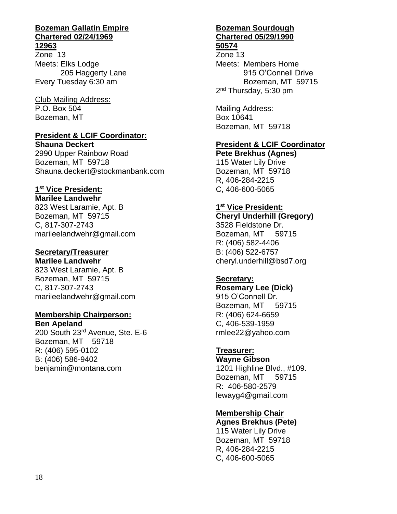# **Bozeman Gallatin Empire Chartered 02/24/1969**

**12963**

Zone 13 Meets: Elks Lodge 205 Haggerty Lane Every Tuesday 6:30 am

Club Mailing Address: P.O. Box 504 Bozeman, MT

#### **President & LCIF Coordinator:**

**Shauna Deckert** 2990 Upper Rainbow Road Bozeman, MT 59718 Shauna.deckert@stockmanbank.com

### **1 st Vice President:**

**Marilee Landwehr** 823 West Laramie, Apt. B Bozeman, MT 59715 C, 817-307-2743 marileelandwehr@gmail.com

#### **Secretary/Treasurer**

**Marilee Landwehr** 823 West Laramie, Apt. B Bozeman, MT 59715 C, 817-307-2743 marileelandwehr@gmail.com

#### **Membership Chairperson:**

**Ben Apeland** 200 South 23rd Avenue, Ste. E-6 Bozeman, MT 59718 R: (406) 595-0102 B: (406) 586-9402 benjamin@montana.com

#### **Bozeman Sourdough Chartered 05/29/1990 50574**

Zone 13 Meets: Members Home 915 O'Connell Drive Bozeman, MT 59715 2<sup>nd</sup> Thursday, 5:30 pm

Mailing Address: Box 10641 Bozeman, MT 59718

#### **President & LCIF Coordinator**

**Pete Brekhus (Agnes)** 115 Water Lily Drive Bozeman, MT 59718 R, 406-284-2215 C, 406-600-5065

#### **1 st Vice President:**

**Cheryl Underhill (Gregory)** 3528 Fieldstone Dr. Bozeman, MT 59715 R: (406) 582-4406 B: (406) 522-6757 cheryl.underhill@bsd7.org

### **Secretary:**

**Rosemary Lee (Dick)** 915 O'Connell Dr. Bozeman, MT 59715 R: (406) 624-6659 C, 406-539-1959 rmlee22@yahoo.com

### **Treasurer:**

**Wayne Gibson** 1201 Highline Blvd., #109. Bozeman, MT 59715 R: 406-580-2579 lewayg4@gmail.com

### **Membership Chair**

**Agnes Brekhus (Pete)** 115 Water Lily Drive Bozeman, MT 59718 R, 406-284-2215 C, 406-600-5065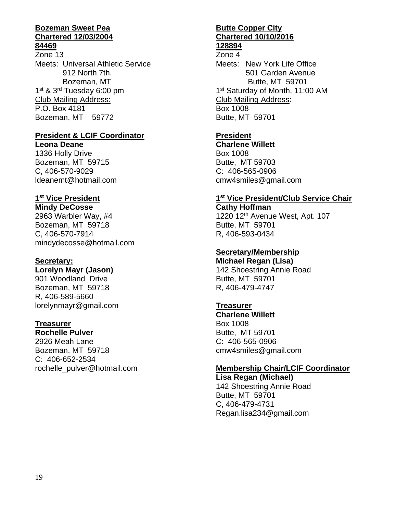#### **Bozeman Sweet Pea Chartered 12/03/2004 84469**

Zone 13 Meets: Universal Athletic Service 912 North 7th. Bozeman, MT 1<sup>st</sup> & 3<sup>rd</sup> Tuesday 6:00 pm Club Mailing Address: P.O. Box 4181 Bozeman, MT 59772

#### **President & LCIF Coordinator**

**Leona Deane** 1336 Holly Drive Bozeman, MT 59715 C, 406-570-9029 ldeanemt@hotmail.com

# **1 st Vice President**

**Mindy DeCosse** 2963 Warbler Way, #4 Bozeman, MT 59718 C, 406-570-7914 mindydecosse@hotmail.com

#### **Secretary:**

**Lorelyn Mayr (Jason)**

901 Woodland Drive Bozeman, MT 59718 R, 406-589-5660 lorelynmayr@gmail.com

#### **Treasurer**

**Rochelle Pulver** 2926 Meah Lane Bozeman, MT 59718 C: 406-652-2534 rochelle\_pulver@hotmail.com

#### **Butte Copper City Chartered 10/10/2016 128894**

# Zone 4

Meets: New York Life Office 501 Garden Avenue Butte, MT 59701 1<sup>st</sup> Saturday of Month, 11:00 AM Club Mailing Address: Box 1008 Butte, MT 59701

# **President**

**Charlene Willett** Box 1008 Butte, MT 59703 C: 406-565-0906 cmw4smiles@gmail.com

#### **1 st Vice President/Club Service Chair**

**Cathy Hoffman** 1220 12<sup>th</sup> Avenue West, Apt. 107 Butte, MT 59701 R, 406-593-0434

#### **Secretary/Membership**

**Michael Regan (Lisa)** 142 Shoestring Annie Road Butte, MT 59701 R, 406-479-4747

### **Treasurer**

**Charlene Willett** Box 1008 Butte, MT 59701 C: 406-565-0906 cmw4smiles@gmail.com

#### **Membership Chair/LCIF Coordinator**

**Lisa Regan (Michael)** 142 Shoestring Annie Road Butte, MT 59701 C, 406-479-4731 Regan.lisa234@gmail.com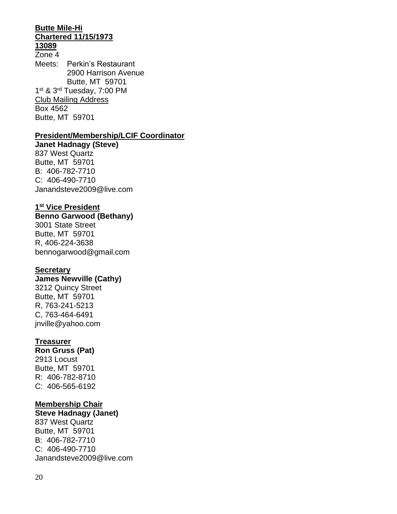#### **Butte Mile-Hi Chartered 11/15/1973 13089**

#### Zone 4 Meets: Perkin's Restaurant 2900 Harrison Avenue Butte, MT 59701

1<sup>st</sup> & 3<sup>rd</sup> Tuesday, 7:00 PM Club Mailing Address Box 4562 Butte, MT 59701

#### **President/Membership/LCIF Coordinator**

**Janet Hadnagy (Steve)** 837 West Quartz Butte, MT 59701 B: 406-782-7710 C: 406-490-7710 Janandsteve2009@live.com

#### **1 st Vice President**

#### **Benno Garwood (Bethany)** 3001 State Street

Butte, MT 59701 R, 406-224-3638 bennogarwood@gmail.com

#### **Secretary**

#### **James Newville (Cathy)** 3212 Quincy Street Butte, MT 59701 R, 763-241-5213

C, 763-464-6491 jnville@yahoo.com

#### **Treasurer**

#### **Ron Gruss (Pat)** 2913 Locust Butte, MT 59701 R: 406-782-8710 C: 406-565-6192

#### **Membership Chair**

**Steve Hadnagy (Janet)** 837 West Quartz Butte, MT 59701 B: 406-782-7710 C: 406-490-7710 Janandsteve2009@live.com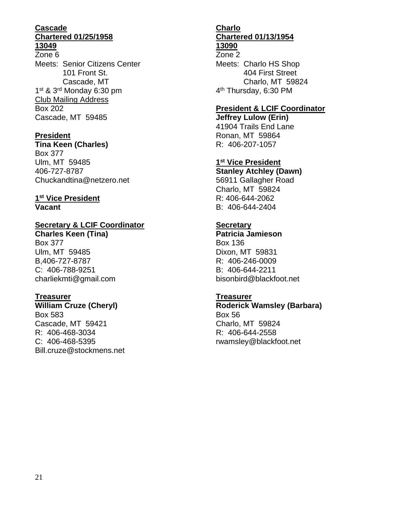#### **Cascade Chartered 01/25/1958 13049**

# Zone 6

Meets: Senior Citizens Center 101 Front St. Cascade, MT 1<sup>st</sup> & 3<sup>rd</sup> Monday 6:30 pm Club Mailing Address Box 202 Cascade, MT 59485

### **President**

**Tina Keen (Charles)** Box 377 Ulm, MT 59485 406-727-8787 Chuckandtina@netzero.net

#### **1 st Vice President Vacant**

### **Secretary & LCIF Coordinator**

**Charles Keen (Tina)** Box 377 Ulm, MT 59485 B,406-727-8787 C: 406-788-9251 charliekmti@gmail.com

### **Treasurer**

**William Cruze (Cheryl)** Box 583 Cascade, MT 59421 R: 406-468-3034 C: 406-468-5395 Bill.cruze@stockmens.net

#### **Charlo Chartered 01/13/1954 13090**

Zone 2 Meets: Charlo HS Shop 404 First Street Charlo, MT 59824 4<sup>th</sup> Thursday, 6:30 PM

#### **President & LCIF Coordinator**

**Jeffrey Lulow (Erin)** 41904 Trails End Lane Ronan, MT 59864 R: 406-207-1057

**1 st Vice President**

**Stanley Atchley (Dawn)** 56911 Gallagher Road Charlo, MT 59824 R: 406-644-2062 B: 406-644-2404

## **Secretary**

**Patricia Jamieson** Box 136 Dixon, MT 59831 R: 406-246-0009 B: 406-644-2211 bisonbird@blackfoot.net

#### **Treasurer**

**Roderick Wamsley (Barbara)** Box 56 Charlo, MT 59824 R: 406-644-2558 rwamsley@blackfoot.net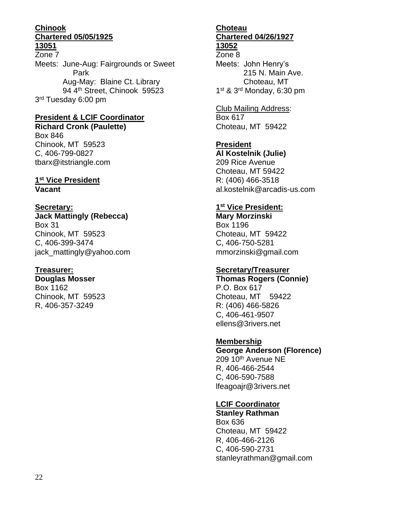#### **Chinook Chartered 05/05/1925 13051**

Zone 7 Meets: June-Aug: Fairgrounds or Sweet Park Aug-May: Blaine Ct. Library 94 4<sup>th</sup> Street, Chinook 59523 3<sup>rd</sup> Tuesday 6:00 pm

#### **President & LCIF Coordinator Richard Cronk (Paulette)** Box 846

Chinook, MT 59523 C, 406-799-0827 tbarx@itstriangle.com

#### **1 st Vice President Vacant**

## **Secretary: Jack Mattingly (Rebecca)** Box 31 Chinook, MT 59523

C, 406-399-3474 jack\_mattingly@yahoo.com

### **Treasurer:**

**Douglas Mosser** Box 1162 Chinook, MT 59523 R, 406-357-3249

#### **Choteau Chartered 04/26/1927 13052**

Zone 8 Meets: John Henry's 215 N. Main Ave. Choteau, MT 1<sup>st</sup> & 3<sup>rd</sup> Monday, 6:30 pm

# Club Mailing Address:

Box 617 Choteau, MT 59422

## **President**

**Al Kostelnik (Julie)** 209 Rice Avenue Choteau, MT 59422 R: (406) 466-3518 al.kostelnik@arcadis-us.com

#### **1 st Vice President:**

**Mary Morzinski** Box 1196 Choteau, MT 59422 C, 406-750-5281 mmorzinski@gmail.com

### **Secretary/Treasurer**

**Thomas Rogers (Connie)** P.O. Box 617 Choteau, MT 59422 R: (406) 466-5826 C, 406-461-9507 ellens@3rivers.net

# **Membership**

**George Anderson (Florence)** 209 10<sup>th</sup> Avenue NE R, 406-466-2544 C, 406-590-7588 lfeagoajr@3rivers.net

# **LCIF Coordinator**

**Stanley Rathman** Box 636 Choteau, MT 59422 R, 406-466-2126 C, 406-590-2731 stanleyrathman@gmail.com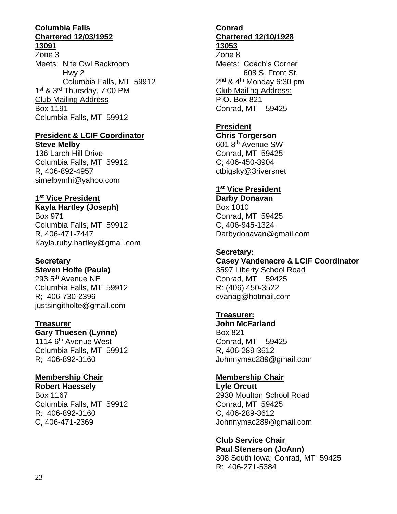#### **Columbia Falls Chartered 12/03/1952 13091**

Zone 3 Meets: Nite Owl Backroom Hwy 2 Columbia Falls, MT 59912 1<sup>st</sup> & 3<sup>rd</sup> Thursday, 7:00 PM Club Mailing Address Box 1191 Columbia Falls, MT 59912

#### **President & LCIF Coordinator Steve Melby**

136 Larch Hill Drive Columbia Falls, MT 59912 R, 406-892-4957 simelbymhi@yahoo.com

#### **1 st Vice President**

**Kayla Hartley (Joseph)** Box 971 Columbia Falls, MT 59912 R, 406-471-7447 Kayla.ruby.hartley@gmail.com

#### **Secretary**

**Steven Holte (Paula)** 293 5th Avenue NE Columbia Falls, MT 59912 R; 406-730-2396 justsingitholte@gmail.com

#### **Treasurer**

**Gary Thuesen (Lynne)** 1114 6<sup>th</sup> Avenue West Columbia Falls, MT 59912 R; 406-892-3160

### **Membership Chair**

**Robert Haessely** Box 1167 Columbia Falls, MT 59912 R: 406-892-3160 C, 406-471-2369

#### **Conrad Chartered 12/10/1928 13053**

Zone 8 Meets: Coach's Corner 608 S. Front St. 2<sup>nd</sup> & 4<sup>th</sup> Monday 6:30 pm Club Mailing Address: P.O. Box 821 Conrad, MT 59425

# **President**

**Chris Torgerson** 601 8th Avenue SW Conrad, MT 59425 C; 406-450-3904 ctbigsky@3riversnet

# **1 st Vice President**

**Darby Donavan** Box 1010 Conrad, MT 59425 C, 406-945-1324 Darbydonavan@gmail.com

# **Secretary:**

**Casey Vandenacre & LCIF Coordinator** 3597 Liberty School Road Conrad, MT 59425 R: (406) 450-3522 cvanag@hotmail.com

# **Treasurer:**

**John McFarland** Box 821 Conrad, MT 59425 R, 406-289-3612 Johnnymac289@gmail.com

# **Membership Chair**

**Lyle Orcutt** 2930 Moulton School Road Conrad, MT 59425 C, 406-289-3612 Johnnymac289@gmail.com

**Club Service Chair Paul Stenerson (JoAnn)** 308 South Iowa; Conrad, MT 59425 R: 406-271-5384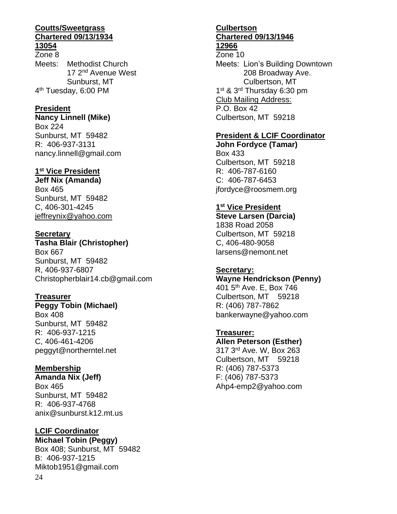#### **Coutts/Sweetgrass Chartered 09/13/1934 13054**

Zone 8 Meets: Methodist Church 17 2<sup>nd</sup> Avenue West Sunburst, MT 4<sup>th</sup> Tuesday, 6:00 PM

#### **President**

**Nancy Linnell (Mike)** Box 224 Sunburst, MT 59482 R: 406-937-3131 nancy.linnell@gmail.com

#### **1 st Vice President**

**Jeff Nix (Amanda)** Box 465 Sunburst, MT 59482 C, 406-301-4245 jeffreynix@yahoo.com

#### **Secretary**

**Tasha Blair (Christopher)** Box 667 Sunburst, MT 59482 R, 406-937-6807 Christopherblair14.cb@gmail.com

#### **Treasurer**

**Peggy Tobin (Michael)** Box 408 Sunburst, MT 59482 R: 406-937-1215 C, 406-461-4206 peggyt@northerntel.net

#### **Membership**

**Amanda Nix (Jeff)** Box 465 Sunburst, MT 59482 R: 406-937-4768 anix@sunburst.k12.mt.us

### **LCIF Coordinator**

24 **Michael Tobin (Peggy)** Box 408; Sunburst, MT 59482 B: 406-937-1215 Miktob1951@gmail.com

#### **Culbertson Chartered 09/13/1946 12966**

Zone 10 Meets: Lion's Building Downtown 208 Broadway Ave. Culbertson, MT 1<sup>st</sup> & 3<sup>rd</sup> Thursday 6:30 pm Club Mailing Address: P.O. Box 42 Culbertson, MT 59218

#### **President & LCIF Coordinator**

**John Fordyce (Tamar)** Box 433 Culbertson, MT 59218 R: 406-787-6160 C: 406-787-6453 jfordyce@roosmem.org

#### **1 st Vice President**

**Steve Larsen (Darcia)** 1838 Road 2058 Culbertson, MT 59218 C, 406-480-9058 larsens@nemont.net

#### **Secretary:**

**Wayne Hendrickson (Penny)** 401 5th Ave. E, Box 746 Culbertson, MT 59218 R: (406) 787-7862 bankerwayne@yahoo.com

### **Treasurer:**

**Allen Peterson (Esther)** 317 3rd Ave. W, Box 263 Culbertson, MT 59218 R: (406) 787-5373 F: (406) 787-5373 Ahp4-emp2@yahoo.com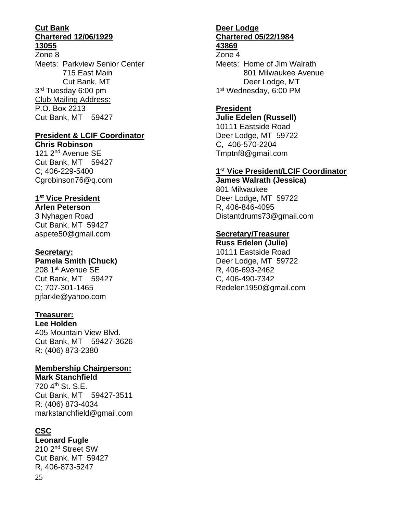#### **Cut Bank Chartered 12/06/1929 13055**

Zone 8 Meets: Parkview Senior Center 715 East Main Cut Bank, MT 3<sup>rd</sup> Tuesday 6:00 pm Club Mailing Address: P.O. Box 2213 Cut Bank, MT 59427

#### **President & LCIF Coordinator**

**Chris Robinson** 121 2nd Avenue SE Cut Bank, MT 59427 C; 406-229-5400 Cgrobinson76@q.com

# **1 st Vice President**

**Arlen Peterson** 3 Nyhagen Road Cut Bank, MT 59427 aspete50@gmail.com

#### **Secretary:**

#### **Pamela Smith (Chuck)**

208 1st Avenue SE Cut Bank, MT 59427 C; 707-301-1465 pjfarkle@yahoo.com

#### **Treasurer:**

**Lee Holden** 405 Mountain View Blvd. Cut Bank, MT 59427-3626 R: (406) 873-2380

### **Membership Chairperson:**

**Mark Stanchfield**  720 4th St. S.E. Cut Bank, MT 59427-3511 R: (406) 873-4034 markstanchfield@gmail.com

### **CSC**

**Leonard Fugle** 210 2nd Street SW

25 Cut Bank, MT 59427 R, 406-873-5247

#### **Deer Lodge Chartered 05/22/1984 43869**

Zone 4

Meets: Home of Jim Walrath 801 Milwaukee Avenue Deer Lodge, MT 1<sup>st</sup> Wednesday, 6:00 PM

### **President**

**Julie Edelen (Russell)** 10111 Eastside Road Deer Lodge, MT 59722 C, 406-570-2204 Tmptnf8@gmail.com

#### **1 st Vice President/LCIF Coordinator**

**James Walrath (Jessica)** 801 Milwaukee Deer Lodge, MT 59722 R, 406-846-4095 Distantdrums73@gmail.com

#### **Secretary/Treasurer**

**Russ Edelen (Julie)** 10111 Eastside Road Deer Lodge, MT 59722 R, 406-693-2462 C, 406-490-7342 Redelen1950@gmail.com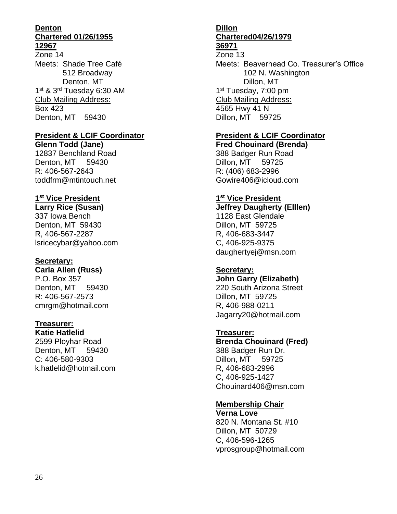#### **Denton Chartered 01/26/1955 12967**

Zone 14 Meets: Shade Tree Café 512 Broadway Denton, MT 1<sup>st</sup> & 3<sup>rd</sup> Tuesday 6:30 AM Club Mailing Address: Box 423 Denton, MT 59430

#### **President & LCIF Coordinator**

**Glenn Todd (Jane)** 12837 Benchland Road Denton, MT 59430 R: 406-567-2643 toddfrm@mtintouch.net

#### **1 st Vice President**

**Larry Rice (Susan)** 337 Iowa Bench Denton, MT 59430 R, 406-567-2287 lsricecybar@yahoo.com

#### **Secretary:**

**Carla Allen (Russ)** P.O. Box 357 Denton, MT 59430

R: 406-567-2573 cmrgm@hotmail.com

# **Treasurer:**

**Katie Hatlelid** 2599 Ployhar Road Denton, MT 59430 C: 406-580-9303 k.hatlelid@hotmail.com

# **Dillon Chartered04/26/1979**

#### **36971** Zone 13

Meets: Beaverhead Co. Treasurer's Office 102 N. Washington Dillon, MT 1<sup>st</sup> Tuesday, 7:00 pm Club Mailing Address: 4565 Hwy 41 N Dillon, MT 59725

#### **President & LCIF Coordinator**

**Fred Chouinard (Brenda)** 388 Badger Run Road Dillon, MT 59725 R: (406) 683-2996 Gowire406@icloud.com

#### **1 st Vice President**

**Jeffrey Daugherty (Elllen)** 1128 East Glendale Dillon, MT 59725 R, 406-683-3447 C, 406-925-9375 daughertyej@msn.com

#### **Secretary:**

**John Garry (Elizabeth)** 220 South Arizona Street Dillon, MT 59725 R, 406-988-0211 Jagarry20@hotmail.com

### **Treasurer:**

**Brenda Chouinard (Fred)** 388 Badger Run Dr. Dillon, MT 59725 R, 406-683-2996 C, 406-925-1427 Chouinard406@msn.com

### **Membership Chair**

**Verna Love** 820 N. Montana St. #10 Dillon, MT 50729 C, 406-596-1265 vprosgroup@hotmail.com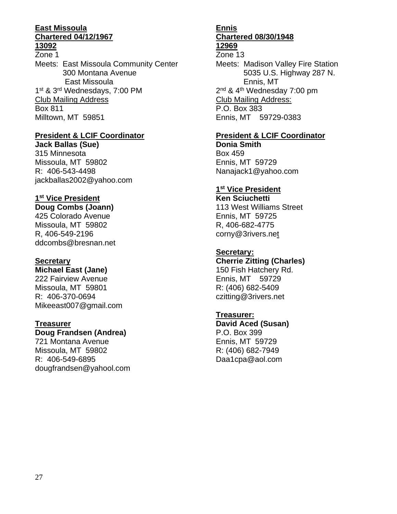#### **East Missoula Chartered 04/12/1967 13092**

Zone 1 Meets: East Missoula Community Center 300 Montana Avenue East Missoula 1<sup>st</sup> & 3<sup>rd</sup> Wednesdays, 7:00 PM Club Mailing Address Box 811 Milltown, MT 59851

#### **President & LCIF Coordinator**

**Jack Ballas (Sue)** 315 Minnesota Missoula, MT 59802 R: 406-543-4498 jackballas2002@yahoo.com

#### **1 st Vice President**

#### **Doug Combs (Joann)**

425 Colorado Avenue Missoula, MT 59802 R, 406-549-2196 ddcombs@bresnan.net

#### **Secretary**

#### **Michael East (Jane)**

222 Fairview Avenue Missoula, MT 59801 R: 406-370-0694 Mikeeast007@gmail.com

#### **Treasurer**

#### **Doug Frandsen (Andrea)**

721 Montana Avenue Missoula, MT 59802 R: 406-549-6895 dougfrandsen@yahool.com

#### **Ennis Chartered 08/30/1948 12969**

# Zone 13

Meets: Madison Valley Fire Station 5035 U.S. Highway 287 N. Ennis, MT 2<sup>nd</sup> & 4<sup>th</sup> Wednesday 7:00 pm Club Mailing Address: P.O. Box 383 Ennis, MT 59729-0383

#### **President & LCIF Coordinator**

**Donia Smith** Box 459 Ennis, MT 59729 Nanajack1@yahoo.com

#### **1 st Vice President**

**Ken Sciuchetti** 113 West Williams Street Ennis, MT 59725 R, 406-682-4775 corny@3rivers.net

#### **Secretary:**

**Cherrie Zitting (Charles)** 150 Fish Hatchery Rd. Ennis, MT 59729 R: (406) 682-5409 czitting@3rivers.net

#### **Treasurer:**

**David Aced (Susan)** P.O. Box 399 Ennis, MT 59729 R: (406) 682-7949 Daa1cpa@aol.com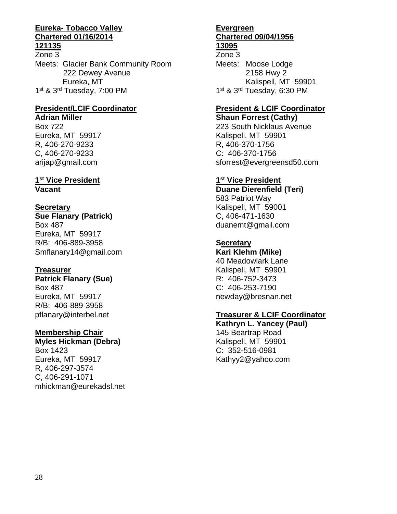#### **Eureka- Tobacco Valley Chartered 01/16/2014 121135**

Zone 3 Meets: Glacier Bank Community Room 222 Dewey Avenue Eureka, MT 1<sup>st</sup> & 3<sup>rd</sup> Tuesday, 7:00 PM

# **President/LCIF Coordinator**

**Adrian Miller**

Box 722 Eureka, MT 59917 R, 406-270-9233 C, 406-270-9233 arijap@gmail.com

#### **1 st Vice President Vacant**

**Secretary Sue Flanary (Patrick)** Box 487 Eureka, MT 59917 R/B: 406-889-3958 Smflanary14@gmail.com

#### **Treasurer**

**Patrick Flanary (Sue)** Box 487 Eureka, MT 59917 R/B: 406-889-3958 pflanary@interbel.net

### **Membership Chair**

**Myles Hickman (Debra)** Box 1423 Eureka, MT 59917 R, 406-297-3574 C, 406-291-1071 mhickman@eurekadsl.net

#### **Evergreen Chartered 09/04/1956 13095**

Zone 3 Meets: Moose Lodge 2158 Hwy 2 Kalispell, MT 59901 1<sup>st</sup> & 3<sup>rd</sup> Tuesday, 6:30 PM

# **President & LCIF Coordinator**

**Shaun Forrest (Cathy)** 223 South Nicklaus Avenue Kalispell, MT 59901 R, 406-370-1756 C: 406-370-1756 sforrest@evergreensd50.com

### **1 st Vice President**

**Duane Dierenfield (Teri)** 583 Patriot Way Kalispell, MT 59001 C, 406-471-1630 duanemt@gmail.com

### **Secretary**

**Kari Klehm (Mike)**

40 Meadowlark Lane Kalispell, MT 59901 R: 406-752-3473 C: 406-253-7190 newday@bresnan.net

#### **Treasurer & LCIF Coordinator**

**Kathryn L. Yancey (Paul)** 145 Beartrap Road Kalispell, MT 59901 C: 352-516-0981 Kathyy2@yahoo.com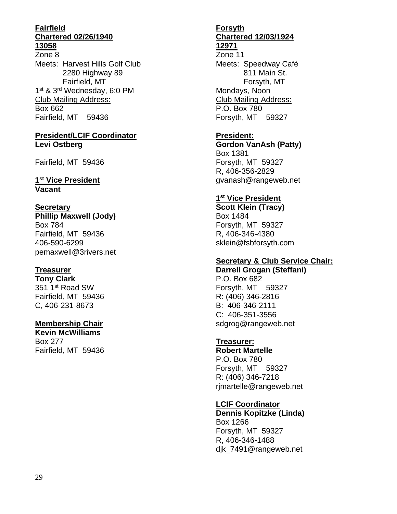#### **Fairfield Chartered 02/26/1940 13058**

Zone 8 Meets: Harvest Hills Golf Club 2280 Highway 89 Fairfield, MT 1<sup>st</sup> & 3<sup>rd</sup> Wednesday, 6:0 PM Club Mailing Address: Box 662 Fairfield, MT 59436

#### **President/LCIF Coordinator Levi Ostberg**

Fairfield, MT 59436

#### **1 st Vice President Vacant**

#### **Secretary Phillip Maxwell (Jody)** Box 784 Fairfield, MT 59436 406-590-6299 pemaxwell@3rivers.net

#### **Treasurer**

**Tony Clark** 351 1<sup>st</sup> Road SW Fairfield, MT 59436 C, 406-231-8673

# **Membership Chair**

**Kevin McWilliams** Box 277 Fairfield, MT 59436

#### **Forsyth Chartered 12/03/1924 12971**

Zone 11 Meets: Speedway Café 811 Main St. Forsyth, MT Mondays, Noon Club Mailing Address: P.O. Box 780 Forsyth, MT 59327

### **President:**

**Gordon VanAsh (Patty)** Box 1381 Forsyth, MT 59327 R, 406-356-2829 gvanash@rangeweb.net

#### **1 st Vice President**

**Scott Klein (Tracy)** Box 1484 Forsyth, MT 59327 R, 406-346-4380 sklein@fsbforsyth.com

#### **Secretary & Club Service Chair:**

**Darrell Grogan (Steffani)** P.O. Box 682 Forsyth, MT 59327 R: (406) 346-2816 B: 406-346-2111 C: 406-351-3556 sdgrog@rangeweb.net

### **Treasurer:**

**Robert Martelle** P.O. Box 780 Forsyth, MT 59327 R: (406) 346-7218 rjmartelle@rangeweb.net

### **LCIF Coordinator**

**Dennis Kopitzke (Linda)** Box 1266 Forsyth, MT 59327 R, 406-346-1488 djk\_7491@rangeweb.net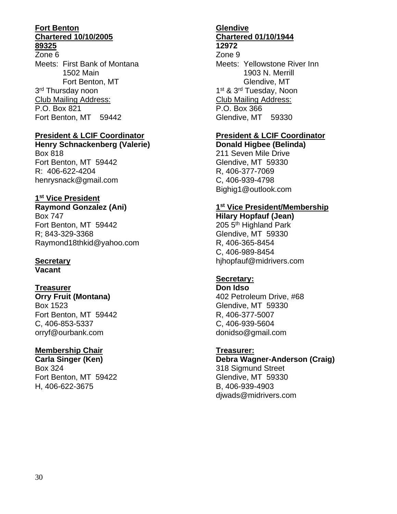#### **Fort Benton Chartered 10/10/2005 89325**

Zone 6 Meets: First Bank of Montana 1502 Main Fort Benton, MT 3<sup>rd</sup> Thursday noon Club Mailing Address: P.O. Box 821 Fort Benton, MT 59442

#### **President & LCIF Coordinator**

**Henry Schnackenberg (Valerie)** Box 818 Fort Benton, MT 59442 R: 406-622-4204 henrysnack@gmail.com

#### **1 st Vice President**

**Raymond Gonzalez (Ani)** Box 747 Fort Benton, MT 59442 R; 843-329-3368 Raymond18thkid@yahoo.com

# **Secretary**

**Vacant**

#### **Treasurer**

**Orry Fruit (Montana)** Box 1523 Fort Benton, MT 59442 C, 406-853-5337 orryf@ourbank.com

### **Membership Chair**

**Carla Singer (Ken)** Box 324 Fort Benton, MT 59422 H, 406-622-3675

# **Glendive Chartered 01/10/1944**

**12972**

Zone 9 Meets: Yellowstone River Inn 1903 N. Merrill Glendive, MT 1<sup>st</sup> & 3<sup>rd</sup> Tuesday, Noon Club Mailing Address: P.O. Box 366 Glendive, MT 59330

# **President & LCIF Coordinator**

**Donald Higbee (Belinda)** 211 Seven Mile Drive Glendive, MT 59330 R, 406-377-7069 C, 406-939-4798 Bighig1@outlook.com

#### **1 st Vice President/Membership**

**Hilary Hopfauf (Jean)** 205 5<sup>th</sup> Highland Park Glendive, MT 59330 R, 406-365-8454 C, 406-989-8454 hjhopfauf@midrivers.com

#### **Secretary:**

**Don Idso** 402 Petroleum Drive, #68 Glendive, MT 59330 R, 406-377-5007 C, 406-939-5604 donidso@gmail.com

#### **Treasurer:**

**Debra Wagner-Anderson (Craig)** 318 Sigmund Street Glendive, MT 59330 B, 406-939-4903 djwads@midrivers.com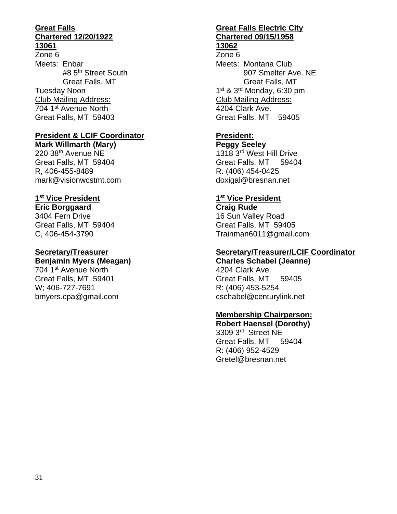#### **Great Falls Chartered 12/20/1922 13061**

Zone 6 Meets: Enbar #8 5<sup>th</sup> Street South Great Falls, MT Tuesday Noon Club Mailing Address: 704 1st Avenue North Great Falls, MT 59403

#### **President & LCIF Coordinator**

**Mark Willmarth (Mary)** 220 38th Avenue NE Great Falls, MT 59404 R, 406-455-8489 mark@visionwcstmt.com

#### **1 st Vice President**

**Eric Borggaard** 3404 Fern Drive Great Falls, MT 59404 C, 406-454-3790

#### **Secretary/Treasurer**

### **Benjamin Myers (Meagan)**

704 1st Avenue North Great Falls, MT 59401 W; 406-727-7691 bmyers.cpa@gmail.com

# **Great Falls Electric City Chartered 09/15/1958**

#### **13062**

Zone 6 Meets: Montana Club 907 Smelter Ave. NE Great Falls, MT 1<sup>st</sup> & 3<sup>rd</sup> Monday, 6:30 pm Club Mailing Address: 4204 Clark Ave. Great Falls, MT 59405

## **President:**

**Peggy Seeley** 1318 3rd West Hill Drive Great Falls, MT 59404 R: (406) 454-0425 doxigal@bresnan.net

#### **1 st Vice President**

**Craig Rude** 16 Sun Valley Road Great Falls, MT 59405 Trainman6011@gmail.com

#### **Secretary/Treasurer/LCIF Coordinator**

**Charles Schabel (Jeanne)** 4204 Clark Ave. Great Falls, MT 59405 R: (406) 453-5254 cschabel@centurylink.net

#### **Membership Chairperson:**

**Robert Haensel (Dorothy)** 3309 3rd Street NE Great Falls, MT 59404 R: (406) 952-4529 Gretel@bresnan.net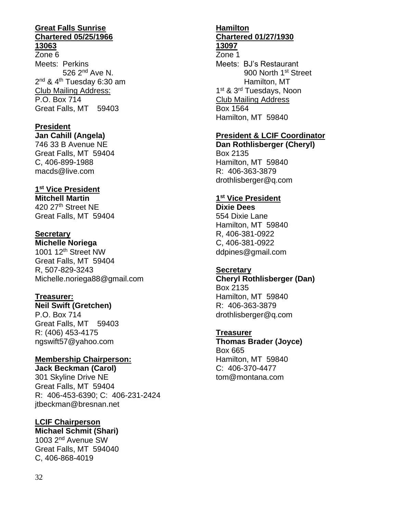#### **Great Falls Sunrise Chartered 05/25/1966 13063**

Zone 6 Meets: Perkins 526 2nd Ave N. 2<sup>nd</sup> & 4<sup>th</sup> Tuesday 6:30 am Club Mailing Address: P.O. Box 714 Great Falls, MT 59403

#### **President**

**Jan Cahill (Angela)** 746 33 B Avenue NE Great Falls, MT 59404 C, 406-899-1988 macds@live.com

### **1 st Vice President**

**Mitchell Martin** 420 27th Street NE Great Falls, MT 59404

#### **Secretary**

**Michelle Noriega** 1001 12th Street NW Great Falls, MT 59404 R, 507-829-3243 Michelle.noriega88@gmail.com

### **Treasurer:**

**Neil Swift (Gretchen)** P.O. Box 714 Great Falls, MT 59403 R: (406) 453-4175 ngswift57@yahoo.com

# **Membership Chairperson:**

**Jack Beckman (Carol)** 301 Skyline Drive NE Great Falls, MT 59404 R: 406-453-6390; C: 406-231-2424 jtbeckman@bresnan.net

#### **LCIF Chairperson Michael Schmit (Shari)**

1003 2nd Avenue SW Great Falls, MT 594040 C, 406-868-4019

#### **Hamilton Chartered 01/27/1930 13097**

Zone 1 Meets: BJ's Restaurant 900 North 1st Street Hamilton, MT 1<sup>st</sup> & 3<sup>rd</sup> Tuesdays, Noon Club Mailing Address Box 1564 Hamilton, MT 59840

## **President & LCIF Coordinator**

**Dan Rothlisberger (Cheryl)** Box 2135 Hamilton, MT 59840 R: 406-363-3879 drothlisberger@q.com

#### **1 st Vice President**

**Dixie Dees** 554 Dixie Lane Hamilton, MT 59840 R, 406-381-0922 C, 406-381-0922 ddpines@gmail.com

#### **Secretary**

**Cheryl Rothlisberger (Dan)** Box 2135 Hamilton, MT 59840 R: 406-363-3879 drothlisberger@q.com

#### **Treasurer**

**Thomas Brader (Joyce)** Box 665 Hamilton, MT 59840 C: 406-370-4477 tom@montana.com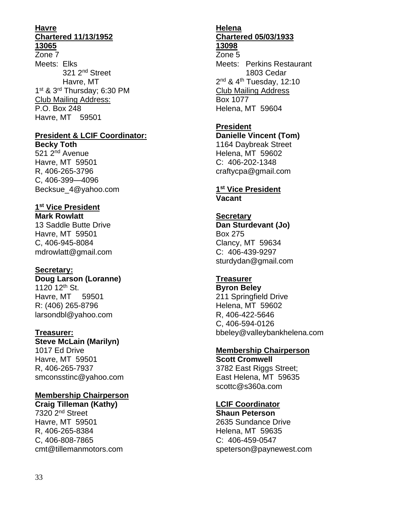#### **Havre Chartered 11/13/1952 13065**

Zone 7 Meets: Elks 321 2nd Street Havre, MT 1<sup>st</sup> & 3<sup>rd</sup> Thursday; 6:30 PM Club Mailing Address: P.O. Box 248 Havre, MT 59501

# **President & LCIF Coordinator:**

**Becky Toth** 521 2nd Avenue Havre, MT 59501 R, 406-265-3796 C, 406-399—4096 Becksue\_4@yahoo.com

# **1 st Vice President**

**Mark Rowlatt** 13 Saddle Butte Drive Havre, MT 59501 C, 406-945-8084 mdrowlatt@gmail.com

### **Secretary:**

**Doug Larson (Loranne)** 1120 12<sup>th</sup> St. Havre, MT 59501 R: (406) 265-8796 larsondbl@yahoo.com

#### **Treasurer: Steve McLain (Marilyn)** 1017 Ed Drive Havre, MT 59501 R, 406-265-7937 smconsstinc@yahoo.com

# **Membership Chairperson**

**Craig Tilleman (Kathy)** 7320 2nd Street Havre, MT 59501 R, 406-265-8384 C, 406-808-7865 cmt@tillemanmotors.com

#### **Helena Chartered 05/03/1933 13098**

Zone 5 Meets: Perkins Restaurant 1803 Cedar 2<sup>nd</sup> & 4<sup>th</sup> Tuesday, 12:10 Club Mailing Address Box 1077 Helena, MT 59604

### **President**

**Danielle Vincent (Tom)** 1164 Daybreak Street Helena, MT 59602 C: 406-202-1348 craftycpa@gmail.com

#### **1 st Vice President Vacant**

#### **Secretary Dan Sturdevant (Jo)** Box 275 Clancy, MT 59634 C: 406-439-9297 sturdydan@gmail.com

#### **Treasurer**

**Byron Beley** 211 Springfield Drive Helena, MT 59602 R, 406-422-5646 C, 406-594-0126 bbeley@valleybankhelena.com

### **Membership Chairperson**

**Scott Cromwell** 3782 East Riggs Street; East Helena, MT 59635 scottc@s360a.com

### **LCIF Coordinator**

**Shaun Peterson** 2635 Sundance Drive Helena, MT 59635 C: 406-459-0547 speterson@paynewest.com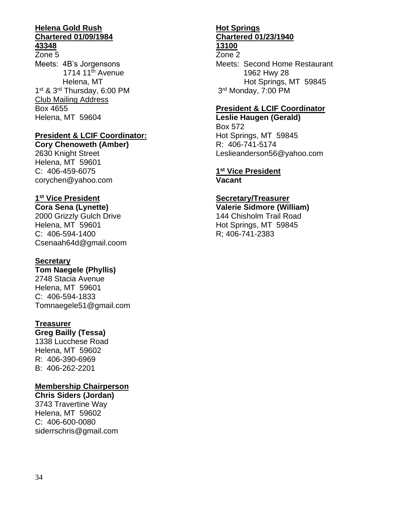#### **Helena Gold Rush Chartered 01/09/1984 43348**

#### Zone 5 Meets: 4B's Jorgensons 1714  $11<sup>th</sup>$  Avenue Helena, MT 1<sup>st</sup> & 3<sup>rd</sup> Thursday, 6:00 PM Club Mailing Address Box 4655 Helena, MT 59604

#### **President & LCIF Coordinator:**

**Cory Chenoweth (Amber)** 2630 Knight Street Helena, MT 59601 C: 406-459-6075 corychen@yahoo.com

#### **1 st Vice President**

**Cora Sena (Lynette)** 2000 Grizzly Gulch Drive Helena, MT 59601 C: 406-594-1400 Csenaah64d@gmail.coom

#### **Secretary**

**Tom Naegele (Phyllis)** 2748 Stacia Avenue Helena, MT 59601 C: 406-594-1833 Tomnaegele51@gmail.com

#### **Treasurer**

**Greg Bailly (Tessa)**

1338 Lucchese Road Helena, MT 59602 R: 406-390-6969 B: 406-262-2201

#### **Membership Chairperson**

**Chris Siders (Jordan)** 3743 Travertine Way Helena, MT 59602 C: 406-600-0080 siderrschris@gmail.com

#### **Hot Springs Chartered 01/23/1940 13100**

Zone 2

Meets: Second Home Restaurant 1962 Hwy 28 Hot Springs, MT 59845 3<sup>rd</sup> Monday, 7:00 PM

#### **President & LCIF Coordinator**

**Leslie Haugen (Gerald)** Box 572 Hot Springs, MT 59845 R: 406-741-5174 Leslieanderson56@yahoo.com

#### **1 st Vice President Vacant**

#### **Secretary/Treasurer**

**Valerie Sidmore (William)** 144 Chisholm Trail Road Hot Springs, MT 59845 R; 406-741-2383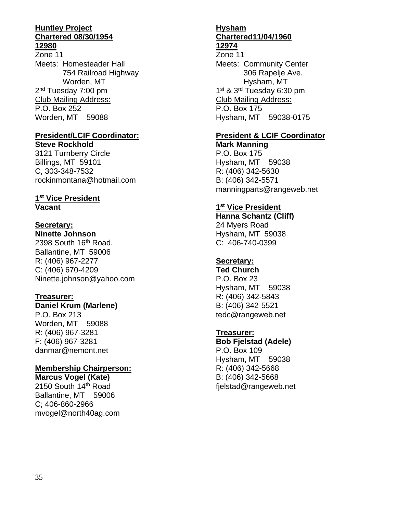#### **Huntley Project Chartered 08/30/1954 12980**

Zone 11 Meets: Homesteader Hall 754 Railroad Highway Worden, MT 2<sup>nd</sup> Tuesday 7:00 pm Club Mailing Address: P.O. Box 252 Worden, MT 59088

# **President/LCIF Coordinator:**

**Steve Rockhold** 3121 Turnberry Circle Billings, MT 59101 C, 303-348-7532 rockinmontana@hotmail.com

#### **1 st Vice President Vacant**

#### **Secretary:**

**Ninette Johnson** 2398 South 16th Road. Ballantine, MT 59006 R: (406) 967-2277 C: (406) 670-4209 Ninette.johnson@yahoo.com

#### **Treasurer:**

#### **Daniel Krum (Marlene)**

P.O. Box 213 Worden, MT 59088 R: (406) 967-3281 F: (406) 967-3281 danmar@nemont.net

#### **Membership Chairperson:**

**Marcus Vogel (Kate)** 2150 South 14th Road Ballantine, MT 59006 C; 406-860-2966 mvogel@north40ag.com

#### **Hysham Chartered11/04/1960 12974**

Zone 11 Meets: Community Center 306 Rapelje Ave. Hysham, MT 1<sup>st</sup> & 3<sup>rd</sup> Tuesday 6:30 pm Club Mailing Address: P.O. Box 175 Hysham, MT 59038-0175

#### **President & LCIF Coordinator Mark Manning**

P.O. Box 175 Hysham, MT 59038 R: (406) 342-5630 B: (406) 342-5571 manningparts@rangeweb.net

#### **1 st Vice President**

**Hanna Schantz (Cliff)** 24 Myers Road Hysham, MT 59038 C: 406-740-0399

#### **Secretary:**

**Ted Church** P.O. Box 23 Hysham, MT 59038 R: (406) 342-5843 B: (406) 342-5521 tedc@rangeweb.net

#### **Treasurer:**

**Bob Fjelstad (Adele)** P.O. Box 109 Hysham, MT 59038 R: (406) 342-5668 B: (406) 342-5668 fjelstad@rangeweb.net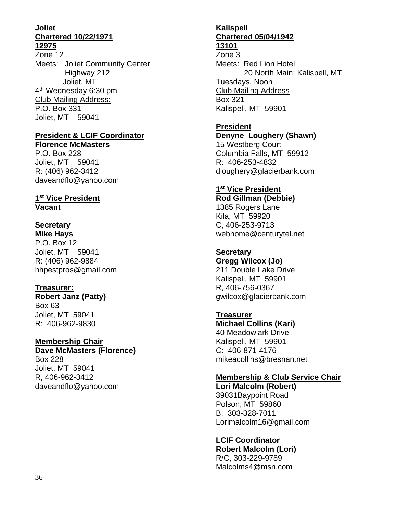#### **Joliet Chartered 10/22/1971 12975**

Zone 12 Meets: Joliet Community Center Highway 212 Joliet, MT 4<sup>th</sup> Wednesday 6:30 pm Club Mailing Address: P.O. Box 331 Joliet, MT 59041

#### **President & LCIF Coordinator**

**Florence McMasters**  P.O. Box 228 Joliet, MT 59041 R: (406) 962-3412 daveandflo@yahoo.com

#### **1 st Vice President Vacant**

# **Secretary**

**Mike Hays** P.O. Box 12 Joliet, MT 59041 R: (406) 962-9884 hhpestpros@gmail.com

#### **Treasurer:**

**Robert Janz (Patty)** Box 63 Joliet, MT 59041 R: 406-962-9830

#### **Membership Chair**

**Dave McMasters (Florence)** Box 228 Joliet, MT 59041 R, 406-962-3412 daveandflo@yahoo.com

#### **Kalispell Chartered 05/04/1942 13101**

Zone 3 Meets: Red Lion Hotel 20 North Main; Kalispell, MT Tuesdays, Noon Club Mailing Address Box 321 Kalispell, MT 59901

#### **President**

**Denyne Loughery (Shawn)** 15 Westberg Court Columbia Falls, MT 59912 R: 406-253-4832 dloughery@glacierbank.com

#### **1 st Vice President**

**Rod Gillman (Debbie)** 1385 Rogers Lane Kila, MT 59920 C, 406-253-9713 webhome@centurytel.net

#### **Secretary**

**Gregg Wilcox (Jo)** 211 Double Lake Drive Kalispell, MT 59901 R, 406-756-0367 gwilcox@glacierbank.com

#### **Treasurer**

**Michael Collins (Kari)** 40 Meadowlark Drive Kalispell, MT 59901 C: 406-871-4176 mikeacollins@bresnan.net

#### **Membership & Club Service Chair**

**Lori Malcolm (Robert)** 39031Baypoint Road Polson, MT 59860 B: 303-328-7011 Lorimalcolm16@gmail.com

#### **LCIF Coordinator**

**Robert Malcolm (Lori)** R/C, 303-229-9789 Malcolms4@msn.com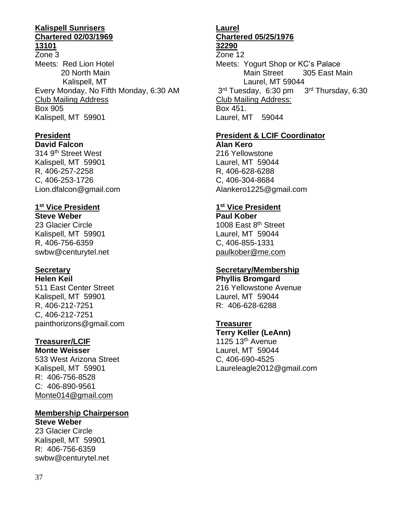#### **Kalispell Sunrisers Chartered 02/03/1969 13101**

Zone 3 Meets: Red Lion Hotel 20 North Main Kalispell, MT Every Monday, No Fifth Monday, 6:30 AM Club Mailing Address Box 905 Kalispell, MT 59901

#### **President David Falcon**

314 9th Street West Kalispell, MT 59901 R, 406-257-2258 C, 406-253-1726 Lion.dfalcon@gmail.com

# **1 st Vice President**

**Steve Weber** 23 Glacier Circle Kalispell, MT 59901 R, 406-756-6359 swbw@centurytel.net

#### **Secretary Helen Keil**

511 East Center Street Kalispell, MT 59901 R, 406-212-7251 C, 406-212-7251 painthorizons@gmail.com

# **Treasurer/LCIF**

**Monte Weisser** 533 West Arizona Street Kalispell, MT 59901 R: 406-756-8528 C: 406-890-9561 Monte014@gmail.com

#### **Membership Chairperson Steve Weber**

23 Glacier Circle Kalispell, MT 59901 R: 406-756-6359 swbw@centurytel.net

# **Laurel Chartered 05/25/1976**

# **32290**

Zone 12 Meets: Yogurt Shop or KC's Palace Main Street 305 East Main Laurel, MT 59044 3<sup>rd</sup> Tuesday, 6:30 pm 3 3rd Thursday, 6:30 Club Mailing Address: Box 451. Laurel, MT 59044

# **President & LCIF Coordinator**

**Alan Kero** 216 Yellowstone Laurel, MT 59044 R, 406-628-6288 C, 406-304-8684 Alankero1225@gmail.com

#### **1 st Vice President**

**Paul Kober** 1008 East 8<sup>th</sup> Street Laurel, MT 59044 C, 406-855-1331 paulkober@me.com

#### **Secretary/Membership Phyllis Bromgard**

216 Yellowstone Avenue Laurel, MT 59044 R: 406-628-6288

### **Treasurer**

**Terry Keller (LeAnn)** 1125  $13<sup>th</sup>$  Avenue Laurel, MT 59044 C, 406-690-4525 Laureleagle2012@gmail.com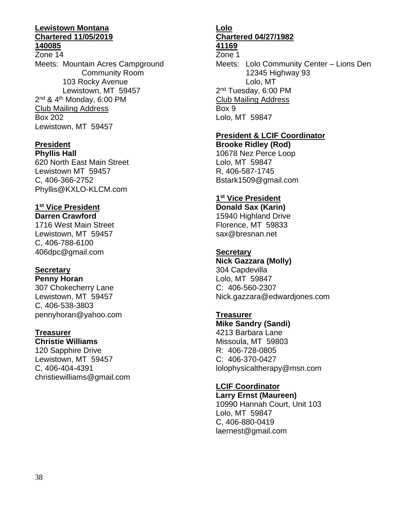#### **Lewistown Montana Chartered 11/05/2019 140085**

Zone 14 Meets: Mountain Acres Campground Community Room 103 Rocky Avenue Lewistown, MT 59457 2<sup>nd</sup> & 4<sup>th</sup> Monday, 6:00 PM Club Mailing Address Box 202 Lewistown, MT 59457

### **President**

**Phyllis Hall** 620 North East Main Street Lewistown MT 59457 C, 406-366-2752 Phyllis@KXLO-KLCM.com

# **1 st Vice President**

**Darren Crawford** 1716 West Main Street Lewistown, MT 59457 C, 406-788-6100 406dpc@gmail.com

#### **Secretary Penny Horan**

307 Chokecherry Lane Lewistown, MT 59457 C, 406-538-3803 pennyhoran@yahoo.com

# **Treasurer**

**Christie Williams** 120 Sapphire Drive Lewistown, MT 59457 C, 406-404-4391 christiewilliams@gmail.com

#### **Lolo Chartered 04/27/1982 41169**

# Zone 1

Meets: Lolo Community Center – Lions Den 12345 Highway 93 Lolo, MT 2<sup>nd</sup> Tuesday, 6:00 PM Club Mailing Address Box 9 Lolo, MT 59847

#### **President & LCIF Coordinator**

**Brooke Ridley (Rod)** 10678 Nez Perce Loop Lolo, MT 59847 R, 406-587-1745 Bstark1509@gmail.com

#### **1 st Vice President**

**Donald Sax (Karin)** 15940 Highland Drive Florence, MT 59833 sax@bresnan.net

#### **Secretary**

**Nick Gazzara (Molly)** 304 Capdevilla Lolo, MT 59847 C: 406-560-2307 Nick.gazzara@edwardjones.com

# **Treasurer**

**Mike Sandry (Sandi)** 4213 Barbara Lane Missoula, MT 59803 R: 406-728-0805 C: 406-370-0427 lolophysicaltherapy@msn.com

**LCIF Coordinator Larry Ernst (Maureen)** 10990 Hannah Court, Unit 103 Lolo, MT 59847 C, 406-880-0419

laernest@gmail.com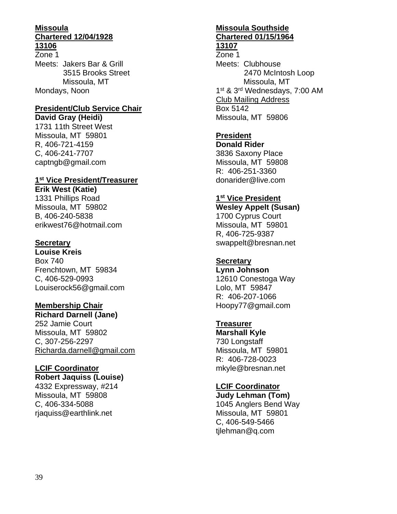#### **Missoula Chartered 12/04/1928 13106**

Zone 1 Meets: Jakers Bar & Grill 3515 Brooks Street Missoula, MT Mondays, Noon

# **President/Club Service Chair**

**David Gray (Heidi)** 1731 11th Street West Missoula, MT 59801 R, 406-721-4159 C, 406-241-7707 captngb@gmail.com

#### **1 st Vice President/Treasurer**

**Erik West (Katie)** 1331 Phillips Road Missoula, MT 59802 B, 406-240-5838 erikwest76@hotmail.com

#### **Secretary**

**Louise Kreis** Box 740 Frenchtown, MT 59834 C, 406-529-0993 Louiserock56@gmail.com

#### **Membership Chair**

**Richard Darnell (Jane)** 252 Jamie Court Missoula, MT 59802 C, 307-256-2297 Richarda.darnell@gmail.com

#### **LCIF Coordinator**

#### **Robert Jaquiss (Louise)**

4332 Expressway, #214 Missoula, MT 59808 C, 406-334-5088 rjaquiss@earthlink.net

# **Missoula Southside Chartered 01/15/1964**

#### **13107**

Zone 1 Meets: Clubhouse 2470 McIntosh Loop Missoula, MT 1<sup>st</sup> & 3<sup>rd</sup> Wednesdays, 7:00 AM Club Mailing Address Box 5142 Missoula, MT 59806

### **President**

**Donald Rider** 3836 Saxony Place Missoula, MT 59808 R: 406-251-3360 donarider@live.com

#### **1 st Vice President**

**Wesley Appelt (Susan)** 1700 Cyprus Court Missoula, MT 59801 R, 406-725-9387 swappelt@bresnan.net

#### **Secretary**

**Lynn Johnson** 12610 Conestoga Way Lolo, MT 59847 R: 406-207-1066 Hoopy77@gmail.com

#### **Treasurer**

**Marshall Kyle** 730 Longstaff Missoula, MT 59801 R: 406-728-0023 mkyle@bresnan.net

#### **LCIF Coordinator Judy Lehman (Tom)**

1045 Anglers Bend Way Missoula, MT 59801 C, 406-549-5466 tjlehman@q.com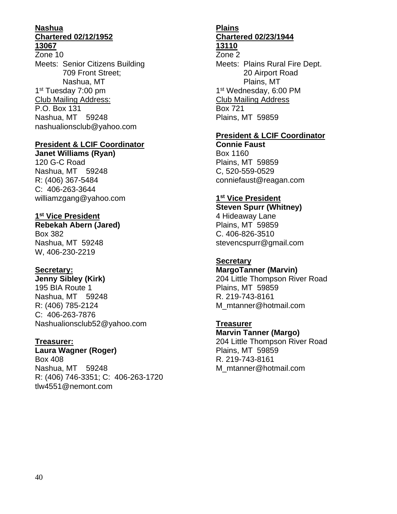#### **Nashua Chartered 02/12/1952 13067**

Zone 10 Meets: Senior Citizens Building 709 Front Street; Nashua, MT 1<sup>st</sup> Tuesday 7:00 pm Club Mailing Address: P.O. Box 131 Nashua, MT 59248 nashualionsclub@yahoo.com

#### **President & LCIF Coordinator**

**Janet Williams (Ryan)** 120 G-C Road Nashua, MT 59248 R: (406) 367-5484 C: 406-263-3644 williamzgang@yahoo.com

#### **1 st Vice President**

**Rebekah Abern (Jared)** Box 382 Nashua, MT 59248 W, 406-230-2219

#### **Secretary:**

**Jenny Sibley (Kirk)** 195 BIA Route 1 Nashua, MT 59248 R: (406) 785-2124 C: 406-263-7876 Nashualionsclub52@yahoo.com

#### **Treasurer:**

**Laura Wagner (Roger)** Box 408 Nashua, MT 59248 R: (406) 746-3351; C: 406-263-1720 tlw4551@nemont.com

# **Plains Chartered 02/23/1944**

# **13110**

Zone 2 Meets: Plains Rural Fire Dept. 20 Airport Road Plains, MT 1<sup>st</sup> Wednesday, 6:00 PM Club Mailing Address Box 721 Plains, MT 59859

#### **President & LCIF Coordinator**

**Connie Faust** Box 1160 Plains, MT 59859 C, 520-559-0529 conniefaust@reagan.com

#### **1 st Vice President**

**Steven Spurr (Whitney)** 4 Hideaway Lane Plains, MT 59859 C. 406-826-3510 stevencspurr@gmail.com

#### **Secretary**

**MargoTanner (Marvin)** 204 Little Thompson River Road Plains, MT 59859 R. 219-743-8161 M\_mtanner@hotmail.com

**Treasurer Marvin Tanner (Margo)** 204 Little Thompson River Road Plains, MT 59859 R. 219-743-8161 M\_mtanner@hotmail.com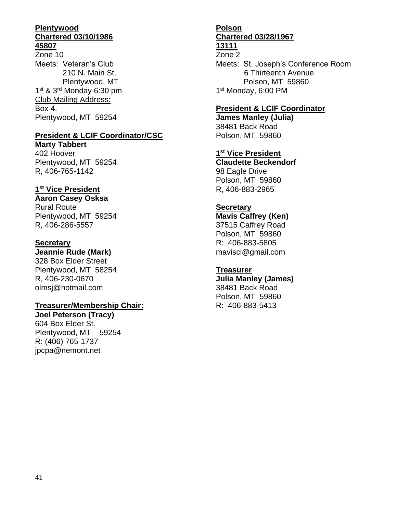#### **Plentywood Chartered 03/10/1986 45807**

Zone 10 Meets: Veteran's Club 210 N. Main St. Plentywood, MT 1<sup>st</sup> & 3<sup>rd</sup> Monday 6:30 pm Club Mailing Address: Box 4. Plentywood, MT 59254

#### **President & LCIF Coordinator/CSC**

**Marty Tabbert** 402 Hoover Plentywood, MT 59254 R, 406-765-1142

#### **1 st Vice President**

#### **Aaron Casey Osksa**

Rural Route Plentywood, MT 59254 R, 406-286-5557

#### **Secretary**

**Jeannie Rude (Mark)** 328 Box Elder Street Plentywood, MT 58254 R, 406-230-0670 olmsj@hotmail.com

#### **Treasurer/Membership Chair:**

**Joel Peterson (Tracy)** 604 Box Elder St. Plentywood, MT 59254 R: (406) 765-1737 jpcpa@nemont.net

#### **Polson Chartered 03/28/1967 13111**

# Zone 2

Meets: St. Joseph's Conference Room 6 Thirteenth Avenue Polson, MT 59860 1<sup>st</sup> Monday, 6:00 PM

#### **President & LCIF Coordinator**

**James Manley (Julia)** 38481 Back Road Polson, MT 59860

**1 st Vice President Claudette Beckendorf** 98 Eagle Drive Polson, MT 59860 R, 406-883-2965

#### **Secretary**

**Mavis Caffrey (Ken)** 37515 Caffrey Road Polson, MT 59860 R: 406-883-5805 maviscl@gmail.com

#### **Treasurer**

**Julia Manley (James)** 38481 Back Road Polson, MT 59860 R: 406-883-5413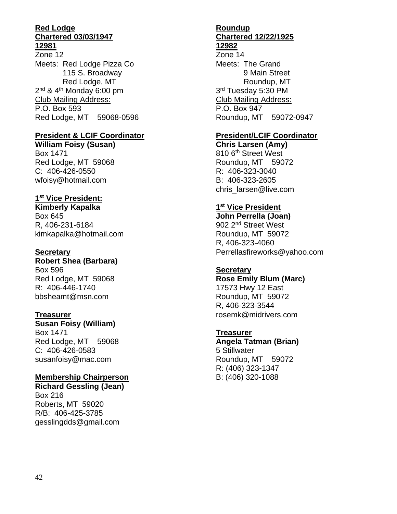#### **Red Lodge Chartered 03/03/1947 12981**

Zone 12 Meets: Red Lodge Pizza Co 115 S. Broadway Red Lodge, MT 2<sup>nd</sup> & 4<sup>th</sup> Monday 6:00 pm Club Mailing Address: P.O. Box 593 Red Lodge, MT 59068-0596

#### **President & LCIF Coordinator**

**William Foisy (Susan)** Box 1471 Red Lodge, MT 59068 C: 406-426-0550 wfoisy@hotmail.com

#### **1 st Vice President:**

**Kimberly Kapalka** Box 645 R, 406-231-6184 kimkapalka@hotmail.com

#### **Secretary**

**Robert Shea (Barbara)** Box 596 Red Lodge, MT 59068 R: 406-446-1740 bbsheamt@msn.com

#### **Treasurer**

**Susan Foisy (William)** Box 1471 Red Lodge, MT 59068 C: 406-426-0583 susanfoisy@mac.com

### **Membership Chairperson**

**Richard Gessling (Jean)** Box 216 Roberts, MT 59020 R/B: 406-425-3785 gesslingdds@gmail.com

#### **Roundup Chartered 12/22/1925 12982**

Zone 14 Meets: The Grand 9 Main Street Roundup, MT 3<sup>rd</sup> Tuesday 5:30 PM Club Mailing Address: P.O. Box 947 Roundup, MT 59072-0947

### **President/LCIF Coordinator**

**Chris Larsen (Amy)** 810 6<sup>th</sup> Street West Roundup, MT 59072 R: 406-323-3040 B: 406-323-2605 chris\_larsen@live.com

#### **1 st Vice President**

**John Perrella (Joan)** 902 2nd Street West Roundup, MT 59072 R, 406-323-4060 Perrellasfireworks@yahoo.com

### **Secretary**

**Rose Emily Blum (Marc)** 17573 Hwy 12 East Roundup, MT 59072 R, 406-323-3544 rosemk@midrivers.com

# **Treasurer**

**Angela Tatman (Brian)** 5 Stillwater Roundup, MT 59072 R: (406) 323-1347 B: (406) 320-1088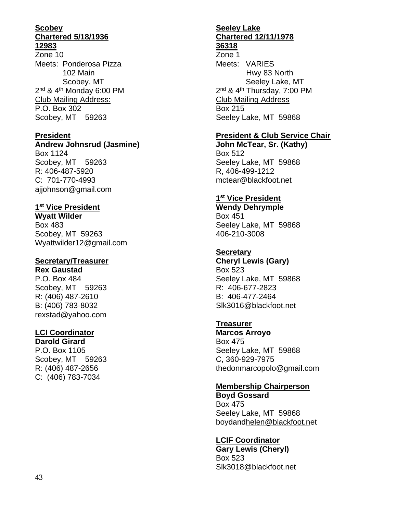#### **Scobey Chartered 5/18/1936 12983**

Zone 10 Meets: Ponderosa Pizza 102 Main Scobey, MT 2<sup>nd</sup> & 4<sup>th</sup> Monday 6:00 PM Club Mailing Address: P.O. Box 302 Scobey, MT 59263

#### **President**

#### **Andrew Johnsrud (Jasmine)**

Box 1124 Scobey, MT 59263 R: 406-487-5920 C: 701-770-4993 ajjohnson@gmail.com

#### **1 st Vice President**

**Wyatt Wilder** Box 483 Scobey, MT 59263 Wyattwilder12@gmail.com

#### **Secretary/Treasurer**

**Rex Gaustad** P.O. Box 484 Scobey, MT 59263 R: (406) 487-2610 B: (406) 783-8032 rexstad@yahoo.com

#### **LCI Coordinator**

**Darold Girard** P.O. Box 1105 Scobey, MT 59263 R: (406) 487-2656 C: (406) 783-7034

#### **Seeley Lake Chartered 12/11/1978 36318**

Zone 1 Meets: VARIES Hwy 83 North Seeley Lake, MT 2<sup>nd</sup> & 4<sup>th</sup> Thursday, 7:00 PM Club Mailing Address Box 215 Seeley Lake, MT 59868

#### **President & Club Service Chair**

**John McTear, Sr. (Kathy)** Box 512 Seeley Lake, MT 59868 R, 406-499-1212 mctear@blackfoot.net

#### **1 st Vice President**

**Wendy Dehrymple** Box 451 Seeley Lake, MT 59868 406-210-3008

#### **Secretary**

**Cheryl Lewis (Gary)** Box 523 Seeley Lake, MT 59868 R: 406-677-2823 B: 406-477-2464 Slk3016@blackfoot.net

### **Treasurer**

**Marcos Arroyo** Box 475 Seeley Lake, MT 59868 C, 360-929-7975 thedonmarcopolo@gmail.com

#### **Membership Chairperson**

**Boyd Gossard** Box 475 Seeley Lake, MT 59868 boydandhelen@blackfoot.net

#### **LCIF Coordinator**

**Gary Lewis (Cheryl)** Box 523 Slk3018@blackfoot.net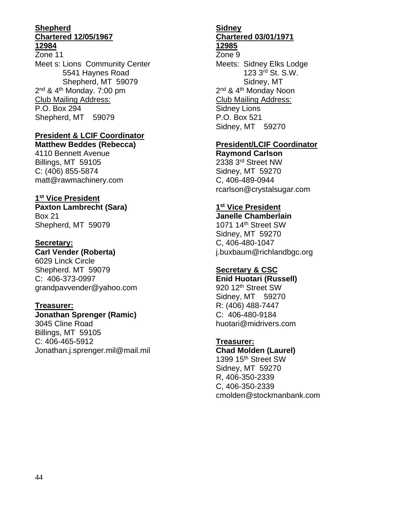#### **Shepherd Chartered 12/05/1967 12984**

Zone 11 Meet s: Lions Community Center 5541 Haynes Road Shepherd, MT 59079 2<sup>nd</sup> & 4<sup>th</sup> Monday. 7:00 pm Club Mailing Address: P.O. Box 294 Shepherd, MT 59079

#### **President & LCIF Coordinator Matthew Beddes (Rebecca)**

4110 Bennett Avenue Billings, MT 59105 C: (406) 855-5874 matt@rawmachinery.com

#### **1 st Vice President**

**Paxton Lambrecht (Sara)** Box 21 Shepherd, MT 59079

#### **Secretary:**

**Carl Vender (Roberta)** 6029 Linck Circle Shepherd. MT 59079 C: 406-373-0997 grandpavvender@yahoo.com

#### **Treasurer:**

**Jonathan Sprenger (Ramic)** 3045 Cline Road Billings, MT 59105 C: 406-465-5912 Jonathan.j.sprenger.mil@mail.mil

## **Sidney Chartered 03/01/1971**

#### **12985**

Zone 9 Meets: Sidney Elks Lodge 123 3rd St. S.W. Sidney, MT 2<sup>nd</sup> & 4<sup>th</sup> Monday Noon Club Mailing Address: Sidney Lions P.O. Box 521 Sidney, MT 59270

#### **President/LCIF Coordinator**

**Raymond Carlson** 2338 3rd Street NW Sidney, MT 59270 C, 406-489-0944 rcarlson@crystalsugar.com

#### **1 st Vice President**

**Janelle Chamberlain** 1071 14th Street SW Sidney, MT 59270 C, 406-480-1047 j.buxbaum@richlandbgc.org

#### **Secretary & CSC**

**Enid Huotari (Russell)** 920 12<sup>th</sup> Street SW Sidney, MT 59270 R: (406) 488-7447 C: 406-480-9184 huotari@midrivers.com

#### **Treasurer:**

**Chad Molden (Laurel)** 1399 15th Street SW Sidney, MT 59270 R, 406-350-2339 C, 406-350-2339 cmolden@stockmanbank.com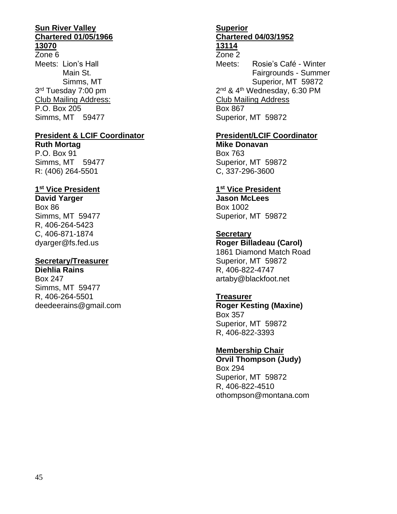#### **Sun River Valley Chartered 01/05/1966 13070**

Zone 6 Meets: Lion's Hall Main St. Simms, MT 3<sup>rd</sup> Tuesday 7:00 pm Club Mailing Address: P.O. Box 205 Simms, MT 59477

# **President & LCIF Coordinator**

**Ruth Mortag** P.O. Box 91 Simms, MT 59477 R: (406) 264-5501

#### **1 st Vice President**

**David Yarger** Box 86 Simms, MT 59477 R, 406-264-5423 C, 406-871-1874 dyarger@fs.fed.us

#### **Secretary/Treasurer**

**Diehlia Rains** Box 247 Simms, MT 59477 R, 406-264-5501 deedeerains@gmail.com

#### **Superior Chartered 04/03/1952 13114**

# Zone 2

Meets: Rosie's Café - Winter Fairgrounds - Summer Superior, MT 59872 2<sup>nd</sup> & 4<sup>th</sup> Wednesday, 6:30 PM Club Mailing Address Box 867 Superior, MT 59872

#### **President/LCIF Coordinator**

**Mike Donavan** Box 763 Superior, MT 59872 C, 337-296-3600

#### **1 st Vice President**

**Jason McLees** Box 1002 Superior, MT 59872

#### **Secretary**

**Roger Billadeau (Carol)** 1861 Diamond Match Road Superior, MT 59872 R, 406-822-4747 artaby@blackfoot.net

#### **Treasurer**

**Roger Kesting (Maxine)** Box 357 Superior, MT 59872 R, 406-822-3393

#### **Membership Chair**

**Orvil Thompson (Judy)** Box 294 Superior, MT 59872 R, 406-822-4510 othompson@montana.com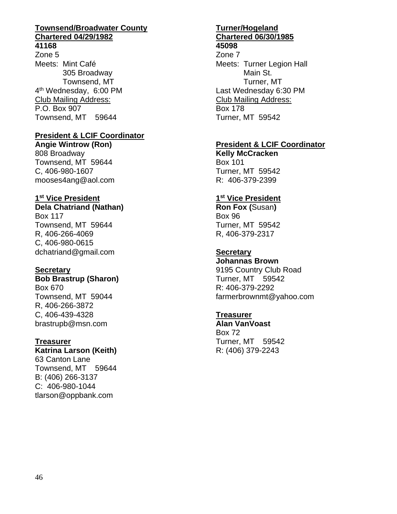## **Townsend/Broadwater County Chartered 04/29/1982**

#### **41168**

Zone 5 Meets: Mint Café 305 Broadway Townsend, MT 4<sup>th</sup> Wednesday, 6:00 PM Club Mailing Address: P.O. Box 907 Townsend, MT 59644

#### **President & LCIF Coordinator**

**Angie Wintrow (Ron)** 808 Broadway Townsend, MT 59644 C, 406-980-1607 mooses4ang@aol.com

#### **1 st Vice President**

**Dela Chatriand (Nathan)**

Box 117 Townsend, MT 59644 R, 406-266-4069 C, 406-980-0615 dchatriand@gmail.com

#### **Secretary**

**Bob Brastrup (Sharon)** Box 670 Townsend, MT 59044 R, 406-266-3872 C, 406-439-4328 brastrupb@msn.com

#### **Treasurer**

**Katrina Larson (Keith)** 63 Canton Lane Townsend, MT 59644 B: (406) 266-3137 C: 406-980-1044 tlarson@oppbank.com

# **Turner/Hogeland Chartered 06/30/1985**

**45098** Zone 7

Meets: Turner Legion Hall Main St. Turner, MT Last Wednesday 6:30 PM Club Mailing Address: Box 178 Turner, MT 59542

#### **President & LCIF Coordinator**

**Kelly McCracken** Box 101 Turner, MT 59542 R: 406-379-2399

#### **1 st Vice President**

**Ron Fox (**Susan**)** Box 96 Turner, MT 59542 R, 406-379-2317

#### **Secretary**

**Johannas Brown** 9195 Country Club Road Turner, MT 59542 R: 406-379-2292 farmerbrownmt@yahoo.com

#### **Treasurer**

**Alan VanVoast** Box 72 Turner, MT 59542 R: (406) 379-2243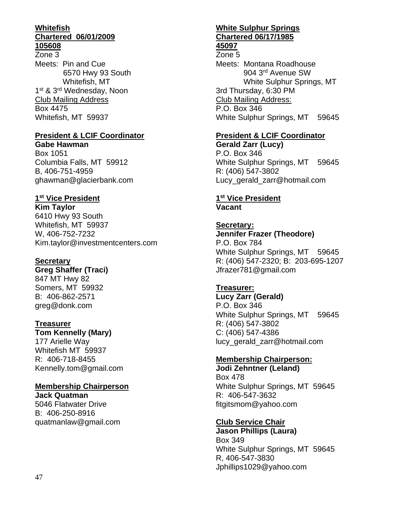#### **Whitefish Chartered 06/01/2009 105608**

Zone 3 Meets: Pin and Cue 6570 Hwy 93 South Whitefish, MT 1<sup>st</sup> & 3<sup>rd</sup> Wednesday, Noon Club Mailing Address Box 4475 Whitefish, MT 59937

## **President & LCIF Coordinator**

**Gabe Hawman** Box 1051 Columbia Falls, MT 59912 B, 406-751-4959 ghawman@glacierbank.com

# **1 st Vice President**

**Kim Taylor** 6410 Hwy 93 South Whitefish, MT 59937 W, 406-752-7232 Kim.taylor@investmentcenters.com

#### **Secretary**

**Greg Shaffer (Traci)** 847 MT Hwy 82 Somers, MT 59932 B: 406-862-2571 greg@donk.com

#### **Treasurer**

**Tom Kennelly (Mary)** 177 Arielle Way Whitefish MT 59937 R: 406-718-8455 Kennelly.tom@gmail.com

### **Membership Chairperson**

**Jack Quatman** 5046 Flatwater Drive B: 406-250-8916 quatmanlaw@gmail.com

#### **White Sulphur Springs Chartered 06/17/1985 45097**

# Zone 5

Meets: Montana Roadhouse 904 3rd Avenue SW White Sulphur Springs, MT 3rd Thursday, 6:30 PM Club Mailing Address: P.O. Box 346 White Sulphur Springs, MT 59645

## **President & LCIF Coordinator**

**Gerald Zarr (Lucy)** P.O. Box 346 White Sulphur Springs, MT 59645 R: (406) 547-3802 Lucy gerald zarr@hotmail.com

#### **1 st Vice President Vacant**

#### **Secretary: Jennifer Frazer (Theodore)** P.O. Box 784 White Sulphur Springs, MT 59645 R: (406) 547-2320; B: 203-695-1207 Jfrazer781@gmail.com

**Treasurer: Lucy Zarr (Gerald)** P.O. Box 346 White Sulphur Springs, MT 59645 R: (406) 547-3802 C: (406) 547-4386 lucy\_gerald\_zarr@hotmail.com

#### **Membership Chairperson:**

**Jodi Zehntner (Leland)** Box 478 White Sulphur Springs, MT 59645 R: 406-547-3632 fitgitsmom@yahoo.com

### **Club Service Chair**

**Jason Phillips (Laura)** Box 349 White Sulphur Springs, MT 59645 R, 406-547-3830 Jphillips1029@yahoo.com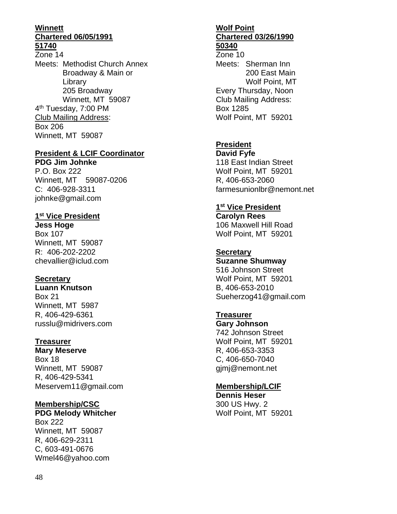#### **Winnett Chartered 06/05/1991 51740**

Zone 14 Meets: Methodist Church Annex Broadway & Main or Library 205 Broadway Winnett, MT 59087 4<sup>th</sup> Tuesday, 7:00 PM Club Mailing Address: Box 206 Winnett, MT 59087

#### **President & LCIF Coordinator**

**PDG Jim Johnke**  P.O. Box 222 Winnett, MT 59087-0206 C: 406-928-3311 johnke@gmail.com

#### **1 st Vice President**

**Jess Hoge** Box 107 Winnett, MT 59087 R: 406-202-2202 chevallier@iclud.com

#### **Secretary**

**Luann Knutson** Box 21 Winnett, MT 5987 R, 406-429-6361 russlu@midrivers.com

#### **Treasurer**

**Mary Meserve** Box 18 Winnett, MT 59087 R, 406-429-5341 Meservem11@gmail.com

#### **Membership/CSC**

**PDG Melody Whitcher** Box 222 Winnett, MT 59087 R, 406-629-2311 C, 603-491-0676 Wmel46@yahoo.com

#### **Wolf Point Chartered 03/26/1990 50340**

Zone 10 Meets: Sherman Inn 200 East Main Wolf Point, MT Every Thursday, Noon Club Mailing Address: Box 1285 Wolf Point, MT 59201

## **President**

**David Fyfe** 118 East Indian Street Wolf Point, MT 59201 R, 406-653-2060 farmesunionlbr@nemont.net

#### **1 st Vice President**

**Carolyn Rees** 106 Maxwell Hill Road Wolf Point, MT 59201

## **Secretary**

**Suzanne Shumway** 516 Johnson Street Wolf Point, MT 59201 B, 406-653-2010 Sueherzog41@gmail.com

#### **Treasurer**

**Gary Johnson** 742 Johnson Street Wolf Point, MT 59201 R, 406-653-3353 C, 406-650-7040 gjmj@nemont.net

#### **Membership/LCIF**

**Dennis Heser** 300 US Hwy. 2 Wolf Point, MT 59201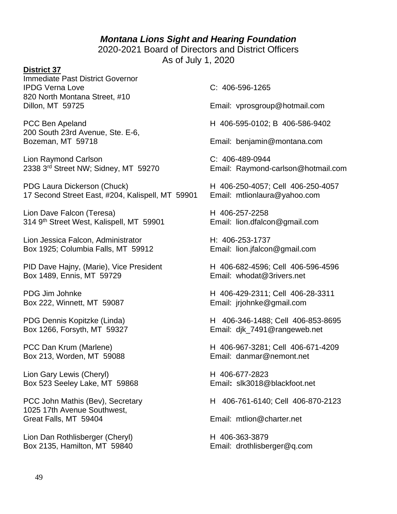#### *Montana Lions Sight and Hearing Foundation*

2020-2021 Board of Directors and District Officers As of July 1, 2020

#### **District 37**

Immediate Past District Governor IPDG Verna Love C: 406-596-1265 820 North Montana Street, #10

200 South 23rd Avenue, Ste. E-6, Bozeman, MT 59718 Email: benjamin@montana.com

Lion Raymond Carlson C: 406-489-0944

PDG Laura Dickerson (Chuck) H 406-250-4057; Cell 406-250-4057 17 Second Street East, #204, Kalispell, MT 59901 Email: mtlionlaura@yahoo.com

Lion Dave Falcon (Teresa) H 406-257-2258 314 9th Street West, Kalispell, MT 59901 Email: lion.dfalcon@gmail.com

Lion Jessica Falcon, Administrator **H**: 406-253-1737 Box 1925; Columbia Falls, MT 59912 Email: lion.jfalcon@gmail.com

PID Dave Hajny, (Marie), Vice President H 406-682-4596; Cell 406-596-4596 Box 1489, Ennis, MT 59729 **Email:** whodat@3rivers.net

Box 222, Winnett, MT 59087 Email: jrjohnke@gmail.com

Box 213, Worden, MT 59088 Email: danmar@nemont.net

Lion Gary Lewis (Cheryl) H 406-677-2823 Box 523 Seeley Lake, MT 59868 Email**:** slk3018@blackfoot.net

1025 17th Avenue Southwest, Great Falls, MT 59404 **Email: mtlion@charter.net** 

Lion Dan Rothlisberger (Cheryl) H 406-363-3879 Box 2135, Hamilton, MT 59840 Email: drothlisberger@q.com

Dillon, MT 59725 Email: vprosgroup@hotmail.com

PCC Ben Apeland H 406-595-0102; B 406-586-9402

2338 3<sup>rd</sup> Street NW; Sidney, MT 59270 Email: Raymond-carlson@hotmail.com

PDG Jim Johnke H 406-429-2311; Cell 406-28-3311

PDG Dennis Kopitzke (Linda) H 406-346-1488; Cell 406-853-8695 Box 1266, Forsyth, MT 59327 Email: dik\_7491@rangeweb.net

PCC Dan Krum (Marlene) <br>
H 406-967-3281; Cell 406-671-4209

PCC John Mathis (Bev), Secretary H 406-761-6140; Cell 406-870-2123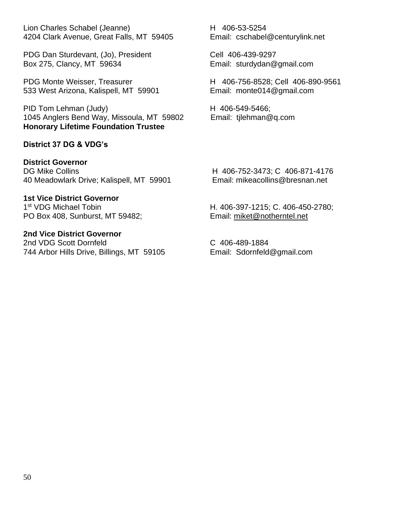Lion Charles Schabel (Jeanne) H 406-53-5254 4204 Clark Avenue, Great Falls, MT 59405 Email: cschabel@centurylink.net

PDG Dan Sturdevant, (Jo), President Cell 406-439-9297 Box 275, Clancy, MT 59634 Email: sturdydan@gmail.com

PDG Monte Weisser, Treasurer 
H 406-756-8528; Cell 406-890-9561 533 West Arizona, Kalispell, MT 59901 Email: monte014@gmail.com

PID Tom Lehman (Judy) H 406-549-5466; 1045 Anglers Bend Way, Missoula, MT 59802 Email: tjlehman@q.com **Honorary Lifetime Foundation Trustee**

#### **District 37 DG & VDG's**

**District Governor** DG Mike Collins **H** 406-752-3473; C 406-871-4176 40 Meadowlark Drive; Kalispell, MT 59901 Email: mikeacollins@bresnan.net

**1st Vice District Governor**  1<sup>st</sup> VDG Michael Tobin PO Box 408, Sunburst, MT 59482; Email: miket@notherntel.net

**2nd Vice District Governor** 2nd VDG Scott Dornfeld C 406-489-1884 744 Arbor Hills Drive, Billings, MT 59105 Email: Sdornfeld@gmail.com

H. 406-397-1215; C. 406-450-2780;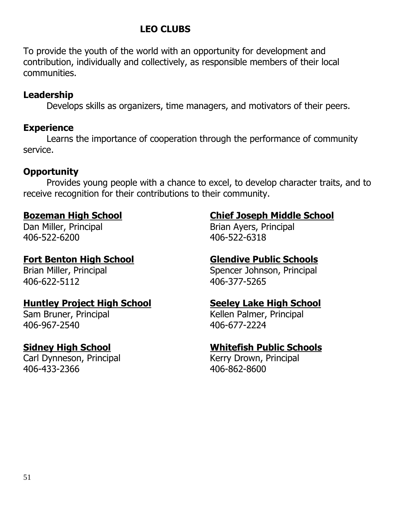# **LEO CLUBS**

To provide the youth of the world with an opportunity for development and contribution, individually and collectively, as responsible members of their local communities.

# **Leadership**

Develops skills as organizers, time managers, and motivators of their peers.

# **Experience**

Learns the importance of cooperation through the performance of community service.

# **Opportunity**

Provides young people with a chance to excel, to develop character traits, and to receive recognition for their contributions to their community.

406-522-6200 406-522-6318

# **Fort Benton High School Glendive Public Schools**

406-622-5112 406-377-5265

# **Huntley Project High School Seeley Lake High School**

406-967-2540 406-677-2224

Carl Dynneson, Principal **Kerry Drown, Principal** 406-433-2366 406-862-8600

# **Bozeman High School Chief Joseph Middle School**

Dan Miller, Principal **Brian Ayers, Principal** 

Brian Miller, Principal Spencer Johnson, Principal

Sam Bruner, Principal News, 2008, 2014 Kellen Palmer, Principal

# **Sidney High School Whitefish Public Schools**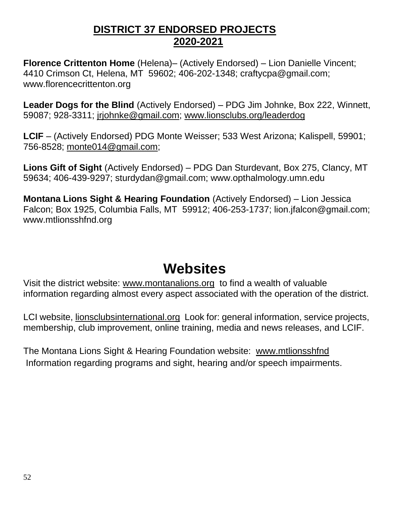# **DISTRICT 37 ENDORSED PROJECTS 2020-2021**

**Florence Crittenton Home** (Helena)– (Actively Endorsed) – Lion Danielle Vincent; 4410 Crimson Ct, Helena, MT 59602; 406-202-1348; craftycpa@gmail.com; www.florencecrittenton.org

**Leader Dogs for the Blind** (Actively Endorsed) – PDG Jim Johnke, Box 222, Winnett, 59087; 928-3311; jrjohnke@gmail.com; www.lionsclubs.org/leaderdog

**LCIF** – (Actively Endorsed) PDG Monte Weisser; 533 West Arizona; Kalispell, 59901; 756-8528; monte014@gmail.com;

**Lions Gift of Sight** (Actively Endorsed) – PDG Dan Sturdevant, Box 275, Clancy, MT 59634; 406-439-9297; sturdydan@gmail.com; www.opthalmology.umn.edu

**Montana Lions Sight & Hearing Foundation** (Actively Endorsed) – Lion Jessica Falcon; Box 1925, Columbia Falls, MT 59912; 406-253-1737; lion.jfalcon@gmail.com; www.mtlionsshfnd.org

# **Websites**

Visit the district website: www.montanalions.org to find a wealth of valuable information regarding almost every aspect associated with the operation of the district.

LCI website, lionsclubsinternational.org Look for: general information, service projects, membership, club improvement, online training, media and news releases, and LCIF.

The Montana Lions Sight & Hearing Foundation website: www.mtlionsshfnd Information regarding programs and sight, hearing and/or speech impairments.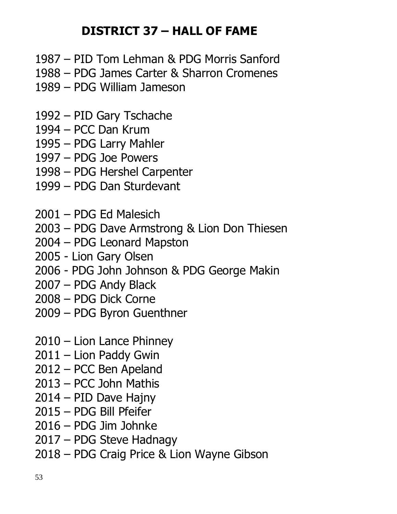# **DISTRICT 37 – HALL OF FAME**

- PID Tom Lehman & PDG Morris Sanford
- PDG James Carter & Sharron Cromenes
- PDG William Jameson
- PID Gary Tschache
- PCC Dan Krum
- PDG Larry Mahler
- PDG Joe Powers
- PDG Hershel Carpenter
- PDG Dan Sturdevant
- PDG Ed Malesich
- PDG Dave Armstrong & Lion Don Thiesen
- PDG Leonard Mapston
- Lion Gary Olsen
- PDG John Johnson & PDG George Makin
- PDG Andy Black
- PDG Dick Corne
- PDG Byron Guenthner
- Lion Lance Phinney
- Lion Paddy Gwin
- PCC Ben Apeland
- PCC John Mathis
- PID Dave Hajny
- PDG Bill Pfeifer
- PDG Jim Johnke
- PDG Steve Hadnagy
- PDG Craig Price & Lion Wayne Gibson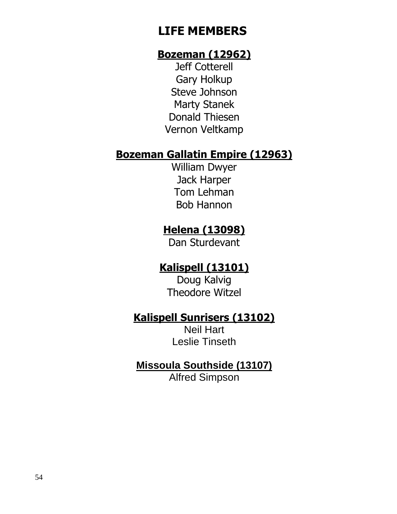# **LIFE MEMBERS**

# **Bozeman (12962)**

Jeff Cotterell Gary Holkup Steve Johnson Marty Stanek Donald Thiesen Vernon Veltkamp

# **Bozeman Gallatin Empire (12963)**

William Dwyer Jack Harper Tom Lehman Bob Hannon

# **Helena (13098)**

Dan Sturdevant

# **Kalispell (13101)**

Doug Kalvig Theodore Witzel

# **Kalispell Sunrisers (13102)**

Neil Hart Leslie Tinseth

# **Missoula Southside (13107)**

Alfred Simpson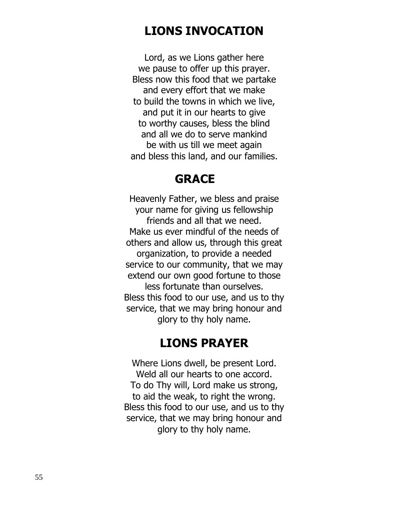# **LIONS INVOCATION**

Lord, as we Lions gather here we pause to offer up this prayer. Bless now this food that we partake and every effort that we make to build the towns in which we live, and put it in our hearts to give to worthy causes, bless the blind and all we do to serve mankind be with us till we meet again and bless this land, and our families.

# **GRACE**

Heavenly Father, we bless and praise your name for giving us fellowship friends and all that we need. Make us ever mindful of the needs of others and allow us, through this great organization, to provide a needed service to our community, that we may extend our own good fortune to those less fortunate than ourselves. Bless this food to our use, and us to thy service, that we may bring honour and glory to thy holy name.

# **LIONS PRAYER**

Where Lions dwell, be present Lord. Weld all our hearts to one accord. To do Thy will, Lord make us strong, to aid the weak, to right the wrong. Bless this food to our use, and us to thy service, that we may bring honour and glory to thy holy name.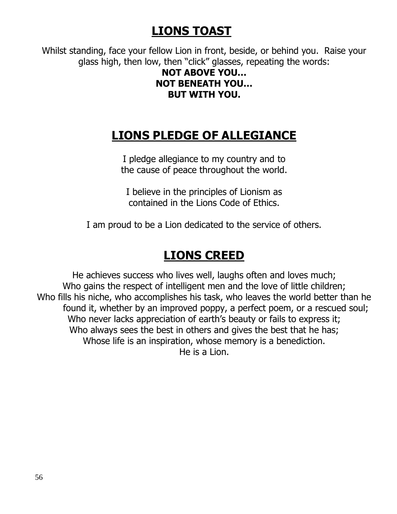# **LIONS TOAST**

Whilst standing, face your fellow Lion in front, beside, or behind you. Raise your glass high, then low, then "click" glasses, repeating the words:

# **NOT ABOVE YOU… NOT BENEATH YOU… BUT WITH YOU.**

# **LIONS PLEDGE OF ALLEGIANCE**

I pledge allegiance to my country and to the cause of peace throughout the world.

I believe in the principles of Lionism as contained in the Lions Code of Ethics.

I am proud to be a Lion dedicated to the service of others.

# **LIONS CREED**

He achieves success who lives well, laughs often and loves much; Who gains the respect of intelligent men and the love of little children; Who fills his niche, who accomplishes his task, who leaves the world better than he found it, whether by an improved poppy, a perfect poem, or a rescued soul; Who never lacks appreciation of earth's beauty or fails to express it; Who always sees the best in others and gives the best that he has; Whose life is an inspiration, whose memory is a benediction. He is a Lion.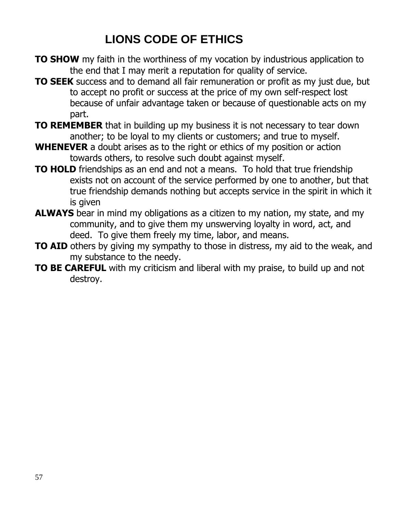# **LIONS CODE OF ETHICS**

- **TO SHOW** my faith in the worthiness of my vocation by industrious application to the end that I may merit a reputation for quality of service.
- **TO SEEK** success and to demand all fair remuneration or profit as my just due, but to accept no profit or success at the price of my own self-respect lost because of unfair advantage taken or because of questionable acts on my part.
- **TO REMEMBER** that in building up my business it is not necessary to tear down another; to be loyal to my clients or customers; and true to myself.
- **WHENEVER** a doubt arises as to the right or ethics of my position or action towards others, to resolve such doubt against myself.
- **TO HOLD** friendships as an end and not a means. To hold that true friendship exists not on account of the service performed by one to another, but that true friendship demands nothing but accepts service in the spirit in which it is given
- **ALWAYS** bear in mind my obligations as a citizen to my nation, my state, and my community, and to give them my unswerving loyalty in word, act, and deed. To give them freely my time, labor, and means.
- **TO AID** others by giving my sympathy to those in distress, my aid to the weak, and my substance to the needy.
- **TO BE CAREFUL** with my criticism and liberal with my praise, to build up and not destroy.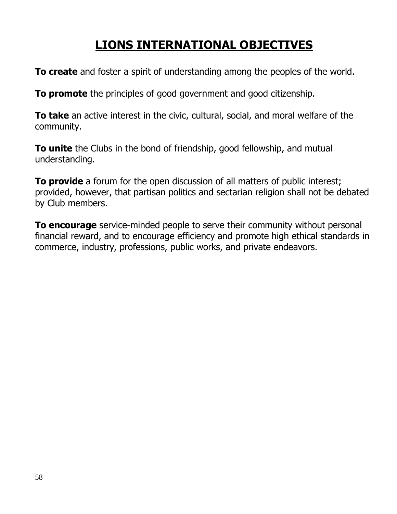# **LIONS INTERNATIONAL OBJECTIVES**

**To create** and foster a spirit of understanding among the peoples of the world.

**To promote** the principles of good government and good citizenship.

**To take** an active interest in the civic, cultural, social, and moral welfare of the community.

**To unite** the Clubs in the bond of friendship, good fellowship, and mutual understanding.

**To provide** a forum for the open discussion of all matters of public interest; provided, however, that partisan politics and sectarian religion shall not be debated by Club members.

**To encourage** service-minded people to serve their community without personal financial reward, and to encourage efficiency and promote high ethical standards in commerce, industry, professions, public works, and private endeavors.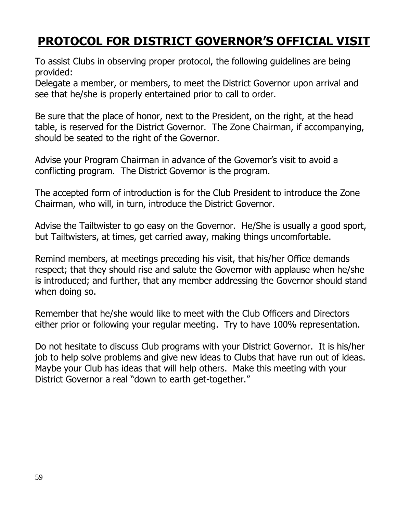# **PROTOCOL FOR DISTRICT GOVERNOR'S OFFICIAL VISIT**

To assist Clubs in observing proper protocol, the following guidelines are being provided:

Delegate a member, or members, to meet the District Governor upon arrival and see that he/she is properly entertained prior to call to order.

Be sure that the place of honor, next to the President, on the right, at the head table, is reserved for the District Governor. The Zone Chairman, if accompanying, should be seated to the right of the Governor.

Advise your Program Chairman in advance of the Governor's visit to avoid a conflicting program. The District Governor is the program.

The accepted form of introduction is for the Club President to introduce the Zone Chairman, who will, in turn, introduce the District Governor.

Advise the Tailtwister to go easy on the Governor. He/She is usually a good sport, but Tailtwisters, at times, get carried away, making things uncomfortable.

Remind members, at meetings preceding his visit, that his/her Office demands respect; that they should rise and salute the Governor with applause when he/she is introduced; and further, that any member addressing the Governor should stand when doing so.

Remember that he/she would like to meet with the Club Officers and Directors either prior or following your regular meeting. Try to have 100% representation.

Do not hesitate to discuss Club programs with your District Governor. It is his/her job to help solve problems and give new ideas to Clubs that have run out of ideas. Maybe your Club has ideas that will help others. Make this meeting with your District Governor a real "down to earth get-together."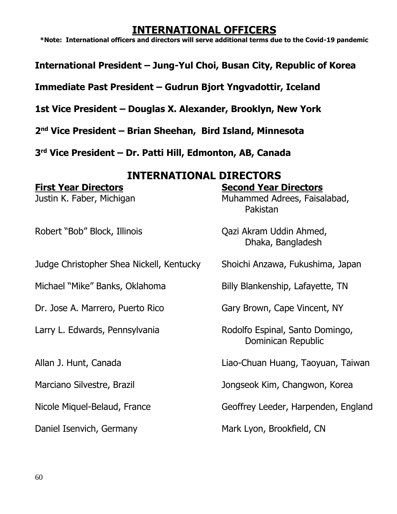# **INTERNATIONAL OFFICERS**

**\*Note: International officers and directors will serve additional terms due to the Covid-19 pandemic**

**International President – Jung-Yul Choi, Busan City, Republic of Korea**

**Immediate Past President – Gudrun Bjort Yngvadottir, Iceland**

**1st Vice President – Douglas X. Alexander, Brooklyn, New York**

**2 nd Vice President – Brian Sheehan, Bird Island, Minnesota**

**3 rd Vice President – Dr. Patti Hill, Edmonton, AB, Canada**

## **INTERNATIONAL DIRECTORS**

# **First Year Directors Second Year Directors**

Robert "Bob" Block, Illinois Qazi Akram Uddin Ahmed,

Judge Christopher Shea Nickell, Kentucky Shoichi Anzawa, Fukushima, Japan

Michael "Mike" Banks, Oklahoma Billy Blankenship, Lafayette, TN

Dr. Jose A. Marrero, Puerto Rico Gary Brown, Cape Vincent, NY

Justin K. Faber, Michigan Muhammed Adrees, Faisalabad, Pakistan

Dhaka, Bangladesh

Larry L. Edwards, Pennsylvania Rodolfo Espinal, Santo Domingo, Dominican Republic

Allan J. Hunt, Canada Liao-Chuan Huang, Taoyuan, Taiwan

Marciano Silvestre, Brazil **Marciano Silvestre, Brazil** Jongseok Kim, Changwon, Korea

Nicole Miquel-Belaud, France Geoffrey Leeder, Harpenden, England

Daniel Isenvich, Germany Mark Lyon, Brookfield, CN